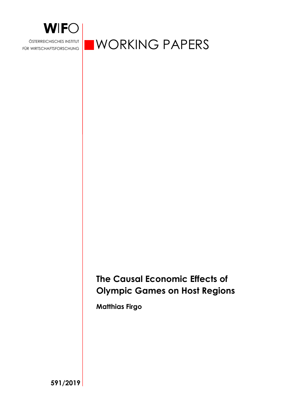

FÜR WIRTSCHAFTSFORSCHUNG

**WORKING PAPERS** 

# **The Causal Economic Effects of Olympic Games on Host Regions**

**Matthias Firgo** 

**591/2019**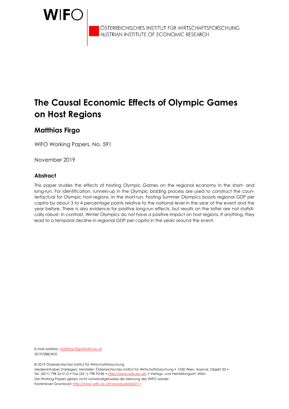

ÖSTERREICHISCHES INSTITUT FÜR WIRTSCHAFTSFORSCHUNG<br>AUSTRIAN INSTITUTE OF ECONOMIC RESEARCH

# **The Causal Economic Effects of Olympic Games on Host Regions**

# **Matthias Firgo**

WIFO Working Papers, No. 591

November 2019

### **Abstract**

This paper studies the effects of hosting Olympic Games on the regional economy in the short- and long-run. For identification, runners-up in the Olympic bidding process are used to construct the counterfactual for Olympic host regions. In the short-run, hosting Summer Olympics boosts regional GDP per capita by about 3 to 4 percentage points relative to the national level in the year of the event and the year before. There is also evidence for positive long-run effects, but results on the latter are not statistically robust. In contrast, Winter Olympics do not have a positive impact on host regions. If anything, they lead to a temporal decline in regional GDP per capita in the years around the event.

E-mail address: matthias.firgo@wifo.ac.at 2019/288/W/0

© 2019 Österreichisches Institut für Wirtschaftsforschung

Medieninhaber (Verleger), Hersteller: Österreichisches Institut für Wirtschaftsforschung • 1030 Wien, Arsenal, Objekt 20 • Tel. (43 1) 798 26 01-0 • Fax (43 1) 798 93 86 • http://www.wifo.ac.at/ • Verlags- und Herstellungsort: Wien Die Working Papers geben nicht notwendigerweise die Meinung des WIFO wieder Kostenloser Download: http://www.wifo.ac.at/wwa/pubid/62111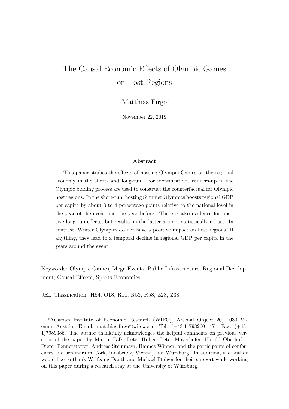# The Causal Economic Effects of Olympic Games on Host Regions

Matthias Firgo<sup>\*</sup>

November 22, 2019

#### Abstract

This paper studies the effects of hosting Olympic Games on the regional economy in the short- and long-run. For identification, runners-up in the Olympic bidding process are used to construct the counterfactual for Olympic host regions. In the short-run, hosting Summer Olympics boosts regional GDP per capita by about 3 to 4 percentage points relative to the national level in the year of the event and the year before. There is also evidence for positive long-run effects, but results on the latter are not statistically robust. In contrast, Winter Olympics do not have a positive impact on host regions. If anything, they lead to a temporal decline in regional GDP per capita in the years around the event.

Keywords: Olympic Games, Mega Events, Public Infrastructure, Regional Development, Causal Effects, Sports Economics;

JEL Classification: H54, O18, R11, R53, R58, Z28, Z38;

<sup>∗</sup>Austrian Institute of Economic Research (WIFO), Arsenal Objekt 20, 1030 Vienna, Austria. Email: matthias.firgo@wifo.ac.at, Tel: (+43-1)7982601-471, Fax: (+43- 1)7989386. The author thankfully acknowledges the helpful comments on previous versions of the paper by Martin Falk, Peter Huber, Peter Mayerhofer, Harald Oberhofer, Dieter Pennerstorfer, Andreas Steinmayr, Hannes Winner, and the participants of conferences and seminars in Cork, Innsbruck, Vienna, and Würzburg. In addition, the author would like to thank Wolfgang Dauth and Michael Pflüger for their support while working on this paper during a research stay at the University of Würzburg.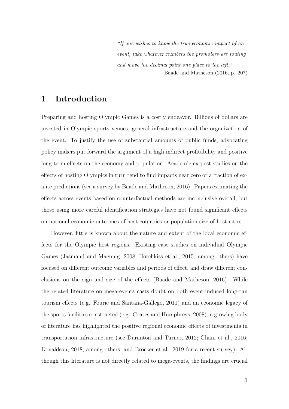"If one wishes to know the true economic impact of an event, take whatever numbers the promoters are touting and move the decimal point one place to the left." — Baade and Matheson (2016, p. 207)

# 1 Introduction

Preparing and hosting Olympic Games is a costly endeavor. Billions of dollars are invested in Olympic sports venues, general infrastructure and the organization of the event. To justify the use of substantial amounts of public funds, advocating policy makers put forward the argument of a high indirect profitability and positive long-term effects on the economy and population. Academic ex-post studies on the effects of hosting Olympics in turn tend to find impacts near zero or a fraction of exante predictions (see a survey by Baade and Matheson, 2016). Papers estimating the effects across events based on counterfactual methods are inconclusive overall, but those using more careful identification strategies have not found significant effects on national economic outcomes of host countries or population size of host cities.

However, little is known about the nature and extent of the local economic effects for the Olympic host regions. Existing case studies on individual Olympic Games (Jasmand and Maennig, 2008; Hotchkiss et al., 2015, among others) have focused on different outcome variables and periods of effect, and draw different conclusions on the sign and size of the effects (Baade and Matheson, 2016). While the related literature on mega-events casts doubt on both event-induced long-run tourism effects (e.g. Fourie and Santana-Gallego, 2011) and an economic legacy of the sports facilities constructed (e.g. Coates and Humphreys, 2008), a growing body of literature has highlighted the positive regional economic effects of investments in transportation infrastructure (see Duranton and Turner, 2012; Ghani et al., 2016; Donaldson, 2018, among others, and Bröcker et al., 2019 for a recent survey). Although this literature is not directly related to mega-events, the findings are crucial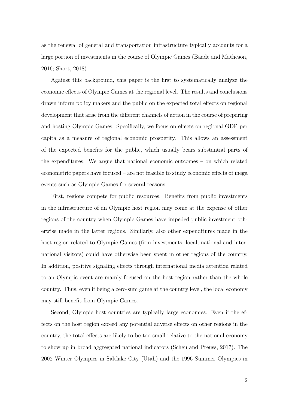as the renewal of general and transportation infrastructure typically accounts for a large portion of investments in the course of Olympic Games (Baade and Matheson, 2016; Short, 2018).

Against this background, this paper is the first to systematically analyze the economic effects of Olympic Games at the regional level. The results and conclusions drawn inform policy makers and the public on the expected total effects on regional development that arise from the different channels of action in the course of preparing and hosting Olympic Games. Specifically, we focus on effects on regional GDP per capita as a measure of regional economic prosperity. This allows an assessment of the expected benefits for the public, which usually bears substantial parts of the expenditures. We argue that national economic outcomes – on which related econometric papers have focused – are not feasible to study economic effects of mega events such as Olympic Games for several reasons:

First, regions compete for public resources. Benefits from public investments in the infrastructure of an Olympic host region may come at the expense of other regions of the country when Olympic Games have impeded public investment otherwise made in the latter regions. Similarly, also other expenditures made in the host region related to Olympic Games (firm investments; local, national and international visitors) could have otherwise been spent in other regions of the country. In addition, positive signaling effects through international media attention related to an Olympic event are mainly focused on the host region rather than the whole country. Thus, even if being a zero-sum game at the country level, the local economy may still benefit from Olympic Games.

Second, Olympic host countries are typically large economies. Even if the effects on the host region exceed any potential adverse effects on other regions in the country, the total effects are likely to be too small relative to the national economy to show up in broad aggregated national indicators (Scheu and Preuss, 2017). The 2002 Winter Olympics in Saltlake City (Utah) and the 1996 Summer Olympics in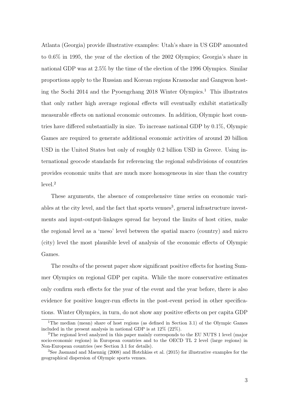Atlanta (Georgia) provide illustrative examples: Utah's share in US GDP amounted to 0.6% in 1995, the year of the election of the 2002 Olympics; Georgia's share in national GDP was at 2.5% by the time of the election of the 1996 Olympics. Similar proportions apply to the Russian and Korean regions Krasnodar and Gangwon hosting the Sochi 2014 and the Pyoengchang 2018 Winter Olympics.<sup>1</sup> This illustrates that only rather high average regional effects will eventually exhibit statistically measurable effects on national economic outcomes. In addition, Olympic host countries have differed substantially in size. To increase national GDP by 0.1%, Olympic Games are required to generate additional economic activities of around 20 billion USD in the United States but only of roughly 0.2 billion USD in Greece. Using international geocode standards for referencing the regional subdivisions of countries provides economic units that are much more homogeneous in size than the country level.<sup>2</sup>

These arguments, the absence of comprehensive time series on economic variables at the city level, and the fact that sports venues<sup>3</sup>, general infrastructure investments and input-output-linkages spread far beyond the limits of host cities, make the regional level as a 'meso' level between the spatial macro (country) and micro (city) level the most plausible level of analysis of the economic effects of Olympic Games.

The results of the present paper show significant positive effects for hosting Summer Olympics on regional GDP per capita. While the more conservative estimates only confirm such effects for the year of the event and the year before, there is also evidence for positive longer-run effects in the post-event period in other specifications. Winter Olympics, in turn, do not show any positive effects on per capita GDP

<sup>&</sup>lt;sup>1</sup>The median (mean) share of host regions (as defined in Section 3.1) of the Olympic Games included in the present analysis in national GDP is at 12% (22%).

<sup>2</sup>The regional level analyzed in this paper mainly corresponds to the EU NUTS 1 level (major socio-economic regions) in European countries and to the OECD TL 2 level (large regions) in Non-European countries (see Section 3.1 for details).

<sup>3</sup>See Jasmand and Maennig (2008) and Hotchkiss et al. (2015) for illustrative examples for the geographical dispersion of Olympic sports venues.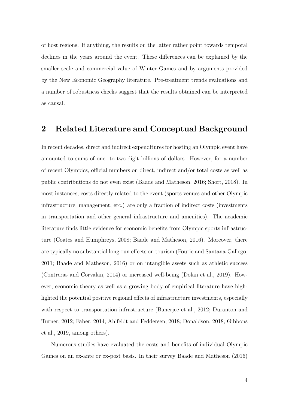of host regions. If anything, the results on the latter rather point towards temporal declines in the years around the event. These differences can be explained by the smaller scale and commercial value of Winter Games and by arguments provided by the New Economic Geography literature. Pre-treatment trends evaluations and a number of robustness checks suggest that the results obtained can be interpreted as causal.

## 2 Related Literature and Conceptual Background

In recent decades, direct and indirect expenditures for hosting an Olympic event have amounted to sums of one- to two-digit billions of dollars. However, for a number of recent Olympics, official numbers on direct, indirect and/or total costs as well as public contributions do not even exist (Baade and Matheson, 2016; Short, 2018). In most instances, costs directly related to the event (sports venues and other Olympic infrastructure, management, etc.) are only a fraction of indirect costs (investments in transportation and other general infrastructure and amenities). The academic literature finds little evidence for economic benefits from Olympic sports infrastructure (Coates and Humphreys, 2008; Baade and Matheson, 2016). Moreover, there are typically no substantial long-run effects on tourism (Fourie and Santana-Gallego, 2011; Baade and Matheson, 2016) or on intangible assets such as athletic success (Contreras and Corvalan, 2014) or increased well-being (Dolan et al., 2019). However, economic theory as well as a growing body of empirical literature have highlighted the potential positive regional effects of infrastructure investments, especially with respect to transportation infrastructure (Banerjee et al., 2012; Duranton and Turner, 2012; Faber, 2014; Ahlfeldt and Feddersen, 2018; Donaldson, 2018; Gibbons et al., 2019, among others).

Numerous studies have evaluated the costs and benefits of individual Olympic Games on an ex-ante or ex-post basis. In their survey Baade and Matheson (2016)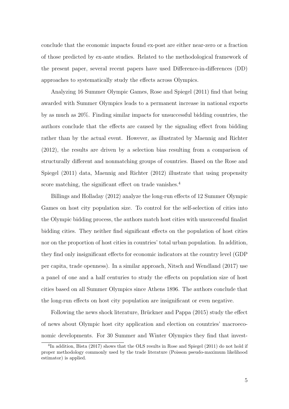conclude that the economic impacts found ex-post are either near-zero or a fraction of those predicted by ex-ante studies. Related to the methodological framework of the present paper, several recent papers have used Difference-in-differences (DD) approaches to systematically study the effects across Olympics.

Analyzing 16 Summer Olympic Games, Rose and Spiegel (2011) find that being awarded with Summer Olympics leads to a permanent increase in national exports by as much as 20%. Finding similar impacts for unsuccessful bidding countries, the authors conclude that the effects are caused by the signaling effect from bidding rather than by the actual event. However, as illustrated by Maennig and Richter (2012), the results are driven by a selection bias resulting from a comparison of structurally different and nonmatching groups of countries. Based on the Rose and Spiegel (2011) data, Maennig and Richter (2012) illustrate that using propensity score matching, the significant effect on trade vanishes.<sup>4</sup>

Billings and Holladay (2012) analyze the long-run effects of 12 Summer Olympic Games on host city population size. To control for the self-selection of cities into the Olympic bidding process, the authors match host cities with unsuccessful finalist bidding cities. They neither find significant effects on the population of host cities nor on the proportion of host cities in countries' total urban population. In addition, they find only insignificant effects for economic indicators at the country level (GDP per capita, trade openness). In a similar approach, Nitsch and Wendland (2017) use a panel of one and a half centuries to study the effects on population size of host cities based on all Summer Olympics since Athens 1896. The authors conclude that the long-run effects on host city population are insignificant or even negative.

Following the news shock literature, Brückner and Pappa (2015) study the effect of news about Olympic host city application and election on countries' macroeconomic developments. For 30 Summer and Winter Olympics they find that invest-

<sup>&</sup>lt;sup>4</sup>In addition, Bista (2017) shows that the OLS results in Rose and Spiegel (2011) do not hold if proper methodology commonly used by the trade literature (Poisson pseudo-maximum likelihood estimator) is applied.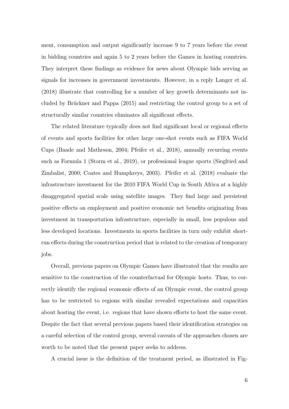ment, consumption and output significantly increase 9 to 7 years before the event in bidding countries and again 5 to 2 years before the Games in hosting countries. They interpret these findings as evidence for news about Olympic bids serving as signals for increases in government investments. However, in a reply Langer et al. (2018) illustrate that controlling for a number of key growth determinants not included by Brückner and Pappa (2015) and restricting the control group to a set of structurally similar countries eliminates all significant effects.

The related literature typically does not find significant local or regional effects of events and sports facilities for other large one-shot events such as FIFA World Cups (Baade and Matheson, 2004; Pfeifer et al., 2018), annually recurring events such as Formula 1 (Storm et al., 2019), or professional league sports (Siegfried and Zimbalist, 2000; Coates and Humphreys, 2003). Pfeifer et al. (2018) evaluate the infrastructure investment for the 2010 FIFA World Cup in South Africa at a highly disaggregated spatial scale using satellite images. They find large and persistent positive effects on employment and positive economic net benefits originating from investment in transportation infrastructure, especially in small, less populous and less developed locations. Investments in sports facilities in turn only exhibit shortrun effects during the construction period that is related to the creation of temporary jobs.

Overall, previous papers on Olympic Games have illustrated that the results are sensitive to the construction of the counterfactual for Olympic hosts. Thus, to correctly identify the regional economic effects of an Olympic event, the control group has to be restricted to regions with similar revealed expectations and capacities about hosting the event, i.e. regions that have shown efforts to host the same event. Despite the fact that several previous papers based their identification strategies on a careful selection of the control group, several caveats of the approaches chosen are worth to be noted that the present paper seeks to address.

A crucial issue is the definition of the treatment period, as illustrated in Fig-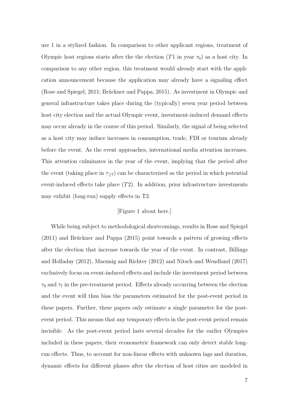ure 1 in a stylized fashion. In comparison to other applicant regions, treatment of Olympic host regions starts after the the election  $(T1$  in year  $\tau_0$ ) as a host city. In comparison to any other region, this treatment would already start with the application announcement because the application may already have a signaling effect (Rose and Spiegel, 2011; Brückner and Pappa, 2015). As investment in Olympic and general infrastructure takes place during the (typically) seven year period between host city election and the actual Olympic event, investment-induced demand effects may occur already in the course of this period. Similarly, the signal of being selected as a host city may induce increases in consumption, trade, FDI or tourism already before the event. As the event approaches, international media attention increases. This attention culminates in the year of the event, implying that the period after the event (taking place in  $\tau_{\geq 7}$ ) can be characterized as the period in which potential event-induced effects take place  $(T2)$ . In addition, prior infrastructure investments may exhibit (long-run) supply effects in T2.

### [Figure 1 about here.]

While being subject to methodological shortcomings, results in Rose and Spiegel  $(2011)$  and Brückner and Pappa  $(2015)$  point towards a pattern of growing effects after the election that increase towards the year of the event. In contrast, Billings and Holladay (2012), Maennig and Richter (2012) and Nitsch and Wendland (2017) exclusively focus on event-induced effects and include the investment period between  $\tau_0$  and  $\tau_7$  in the pre-treatment period. Effects already occurring between the election and the event will thus bias the parameters estimated for the post-event period in these papers. Further, these papers only estimate a single parameter for the postevent period. This means that any temporary effects in the post-event period remain invisible. As the post-event period lasts several decades for the earlier Olympics included in these papers, their econometric framework can only detect stable longrun effects. Thus, to account for non-linear effects with unknown lags and duration, dynamic effects for different phases after the election of host cities are modeled in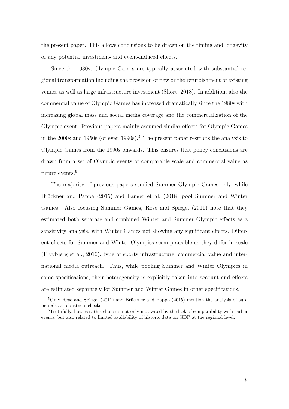the present paper. This allows conclusions to be drawn on the timing and longevity of any potential investment- and event-induced effects.

Since the 1980s, Olympic Games are typically associated with substantial regional transformation including the provision of new or the refurbishment of existing venues as well as large infrastructure investment (Short, 2018). In addition, also the commercial value of Olympic Games has increased dramatically since the 1980s with increasing global mass and social media coverage and the commercialization of the Olympic event. Previous papers mainly assumed similar effects for Olympic Games in the 2000s and 1950s (or even 1990s).<sup>5</sup> The present paper restricts the analysis to Olympic Games from the 1990s onwards. This ensures that policy conclusions are drawn from a set of Olympic events of comparable scale and commercial value as future events.<sup>6</sup>

The majority of previous papers studied Summer Olympic Games only, while Brückner and Pappa (2015) and Langer et al. (2018) pool Summer and Winter Games. Also focusing Summer Games, Rose and Spiegel (2011) note that they estimated both separate and combined Winter and Summer Olympic effects as a sensitivity analysis, with Winter Games not showing any significant effects. Different effects for Summer and Winter Olympics seem plausible as they differ in scale (Flyvbjerg et al., 2016), type of sports infrastructure, commercial value and international media outreach. Thus, while pooling Summer and Winter Olympics in some specifications, their heterogeneity is explicitly taken into account and effects are estimated separately for Summer and Winter Games in other specifications.

 $5$ Only Rose and Spiegel (2011) and Brückner and Pappa (2015) mention the analysis of subperiods as robustness checks.

<sup>6</sup>Truthfully, however, this choice is not only motivated by the lack of comparability with earlier events, but also related to limited availability of historic data on GDP at the regional level.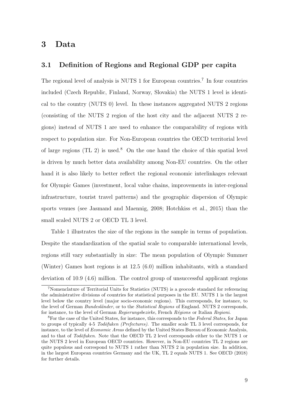## 3 Data

### 3.1 Definition of Regions and Regional GDP per capita

The regional level of analysis is NUTS 1 for European countries.<sup>7</sup> In four countries included (Czech Republic, Finland, Norway, Slovakia) the NUTS 1 level is identical to the country (NUTS 0) level. In these instances aggregated NUTS 2 regions (consisting of the NUTS 2 region of the host city and the adjacent NUTS 2 regions) instead of NUTS 1 are used to enhance the comparability of regions with respect to population size. For Non-European countries the OECD territorial level of large regions (TL 2) is used.<sup>8</sup> On the one hand the choice of this spatial level is driven by much better data availability among Non-EU countries. On the other hand it is also likely to better reflect the regional economic interlinkages relevant for Olympic Games (investment, local value chains, improvements in inter-regional infrastructure, tourist travel patterns) and the geographic dispersion of Olympic sports venues (see Jasmand and Maennig, 2008; Hotchkiss et al., 2015) than the small scaled NUTS 2 or OECD TL 3 level.

Table 1 illustrates the size of the regions in the sample in terms of population. Despite the standardization of the spatial scale to comparable international levels, regions still vary substantially in size: The mean population of Olympic Summer (Winter) Games host regions is at 12.5 (6.0) million inhabitants, with a standard deviation of 10.9 (4.6) million. The control group of unsuccessful applicant regions

<sup>7</sup>Nomenclature of Territorial Units for Statistics (NUTS) is a geocode standard for referencing the administrative divisions of countries for statistical purposes in the EU. NUTS 1 is the largest level below the country level (major socio-economic regions). This corresponds, for instance, to the level of German Bundesländer, or to the Statistical Regions of England. NUTS 2 corresponds, for instance, to the level of German Regierungsbezirke, French Régions or Italian Regioni.

<sup>&</sup>lt;sup>8</sup>For the case of the United States, for instance, this corresponds to the Federal States, for Japan to groups of typically  $4-5$  Todõfuken (Prefectures). The smaller scale TL 3 level corresponds, for instance, to the level of Economic Areas defined by the United States Bureau of Economic Analysis, and to that of Todofuken. Note that the OECD TL 2 level corresponds either to the NUTS 1 or the NUTS 2 level in European OECD countries. However, in Non-EU countries TL 2 regions are quite populous and correspond to NUTS 1 rather than NUTS 2 in population size. In addition, in the largest European countries Germany and the UK, TL 2 equals NUTS 1. See OECD (2018) for further details.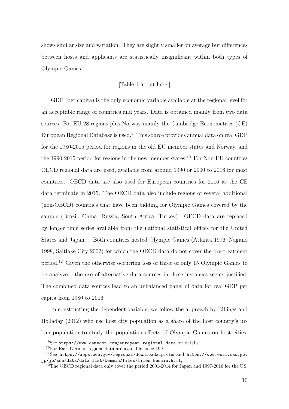shows similar size and variation. They are slightly smaller on average but differences between hosts and applicants are statistically insignificant within both types of Olympic Games.

### [Table 1 about here.]

GDP (per capita) is the only economic variable available at the regional level for an acceptable range of countries and years. Data is obtained mainly from two data sources. For EU-28 regions plus Norway mainly the Cambridge Econometrics (CE) European Regional Database is used.<sup>9</sup> This source provides annual data on real GDP for the 1980-2015 period for regions in the old EU member states and Norway, and the 1990-2015 period for regions in the new member states.<sup>10</sup> For Non-EU countries OECD regional data are used, available from around 1990 or 2000 to 2016 for most countries. OECD data are also used for European countries for 2016 as the CE data terminate in 2015. The OECD data also include regions of several additional (non-OECD) countries that have been bidding for Olympic Games covered by the sample (Brazil, China, Russia, South Africa, Turkey). OECD data are replaced by longer time series available from the national statistical offices for the United States and Japan.<sup>11</sup> Both countries hosted Olympic Games (Atlanta 1996, Nagano 1998, Saltlake City 2002) for which the OECD data do not cover the pre-treatment period.<sup>12</sup> Given the otherwise occurring loss of three of only 15 Olympic Games to be analyzed, the use of alternative data sources in these instances seems justified. The combined data sources lead to an unbalanced panel of data for real GDP per capita from 1980 to 2016.

In constructing the dependent variable, we follow the approach by Billings and Holladay (2012) who use host city population as a share of the host country's urban population to study the population effects of Olympic Games on host cities.

 $9$ See https://www.camecon.com/european-regional-data for details.

<sup>10</sup>For East German regions data are available since 1991.

 $11$ See https://apps.bea.gov/regional/downloadzip.cfm and https://www.esri.cao.go. jp/jp/sna/data/data\_list/kenmin/files/files\_kenmin.html;

<sup>&</sup>lt;sup>12</sup>The OECD regional data only cover the period 2001-2014 for Japan and 1997-2016 for the US.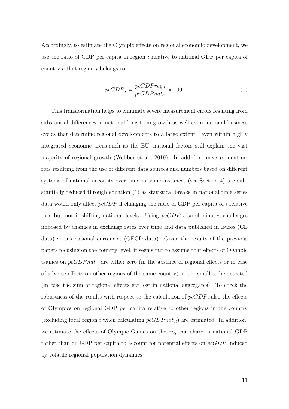Accordingly, to estimate the Olympic effects on regional economic development, we use the ratio of GDP per capita in region  $i$  relative to national GDP per capita of country  $c$  that region  $i$  belongs to:

$$
pcGDP_{it} = \frac{pcGDPreg_{it}}{pcGDPnat_{ct}} \times 100.
$$
\n(1)

This transformation helps to eliminate severe measurement errors resulting from substantial differences in national long-term growth as well as in national business cycles that determine regional developments to a large extent. Even within highly integrated economic areas such as the EU, national factors still explain the vast majority of regional growth (Webber et al., 2019). In addition, measurement errors resulting from the use of different data sources and numbers based on different systems of national accounts over time in some instances (see Section 4) are substantially reduced through equation (1) as statistical breaks in national time series data would only affect  $pcGDP$  if changing the ratio of GDP per capita of i relative to c but not if shifting national levels. Using  $pcGDP$  also eliminates challenges imposed by changes in exchange rates over time and data published in Euros (CE data) versus national currencies (OECD data). Given the results of the previous papers focusing on the country level, it seems fair to assume that effects of Olympic Games on  $pcGDPnat_{ct}$  are either zero (in the absence of regional effects or in case of adverse effects on other regions of the same country) or too small to be detected (in case the sum of regional effects get lost in national aggregates). To check the robustness of the results with respect to the calculation of  $pcGDP$ , also the effects of Olympics on regional GDP per capita relative to other regions in the country (excluding focal region i when calculating  $pcGDPnat_{ct}$ ) are estimated. In addition, we estimate the effects of Olympic Games on the regional share in national GDP rather than on GDP per capita to account for potential effects on pcGDP induced by volatile regional population dynamics.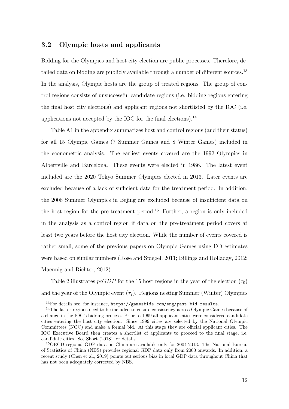### 3.2 Olympic hosts and applicants

Bidding for the Olympics and host city election are public processes. Therefore, detailed data on bidding are publicly available through a number of different sources.<sup>13</sup> In the analysis, Olympic hosts are the group of treated regions. The group of control regions consists of unsuccessful candidate regions (i.e. bidding regions entering the final host city elections) and applicant regions not shortlisted by the IOC (i.e. applications not accepted by the IOC for the final elections).<sup>14</sup>

Table A1 in the appendix summarizes host and control regions (and their status) for all 15 Olympic Games (7 Summer Games and 8 Winter Games) included in the econometric analysis. The earliest events covered are the 1992 Olympics in Albertville and Barcelona. These events were elected in 1986. The latest event included are the 2020 Tokyo Summer Olympics elected in 2013. Later events are excluded because of a lack of sufficient data for the treatment period. In addition, the 2008 Summer Olympics in Bejing are excluded because of insufficient data on the host region for the pre-treatment period.<sup>15</sup> Further, a region is only included in the analysis as a control region if data on the pre-treatment period covers at least two years before the host city election. While the number of events covered is rather small, some of the previous papers on Olympic Games using DD estimates were based on similar numbers (Rose and Spiegel, 2011; Billings and Holladay, 2012; Maennig and Richter, 2012).

Table 2 illustrates  $pcGDP$  for the 15 host regions in the year of the election  $(\tau_0)$ and the year of the Olympic event  $(\tau_7)$ . Regions nesting Summer (Winter) Olympics

<sup>&</sup>lt;sup>13</sup>For details see, for instance, https://gamesbids.com/eng/past-bid-results.

<sup>&</sup>lt;sup>14</sup>The latter regions need to be included to ensure consistency across Olympic Games because of a change in the IOC's bidding process. Prior to 1999 all applicant cities were considered candidate cities entering the host city election. Since 1999 cities are selected by the National Olympic Committees (NOC) and make a formal bid. At this stage they are official applicant cities. The IOC Executive Board then creates a shortlist of applicants to proceed to the final stage, i.e. candidate cities. See Short (2018) for details.

<sup>&</sup>lt;sup>15</sup>OECD regional GDP data on China are available only for 2004-2013. The National Bureau of Statistics of China (NBS) provides regional GDP data only from 2000 onwards. In addition, a recent study (Chen et al., 2019) points out serious bias in local GDP data throughout China that has not been adequately corrected by NBS.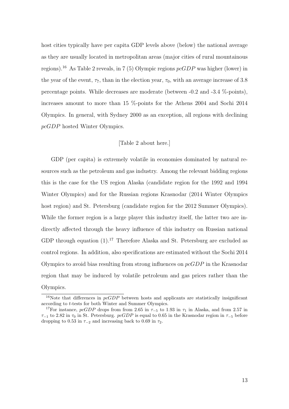host cities typically have per capita GDP levels above (below) the national average as they are usually located in metropolitan areas (major cities of rural mountainous regions).<sup>16</sup> As Table 2 reveals, in 7 (5) Olympic regions  $pcGDP$  was higher (lower) in the year of the event,  $\tau_7$ , than in the election year,  $\tau_0$ , with an average increase of 3.8 percentage points. While decreases are moderate (between -0.2 and -3.4 %-points), increases amount to more than 15 %-points for the Athens 2004 and Sochi 2014 Olympics. In general, with Sydney 2000 as an exception, all regions with declining pcGDP hosted Winter Olympics.

#### [Table 2 about here.]

GDP (per capita) is extremely volatile in economies dominated by natural resources such as the petroleum and gas industry. Among the relevant bidding regions this is the case for the US region Alaska (candidate region for the 1992 and 1994 Winter Olympics) and for the Russian regions Krasnodar (2014 Winter Olympics host region) and St. Petersburg (candidate region for the 2012 Summer Olympics). While the former region is a large player this industry itself, the latter two are indirectly affected through the heavy influence of this industry on Russian national GDP through equation  $(1).^{17}$  Therefore Alaska and St. Petersburg are excluded as control regions. In addition, also specifications are estimated without the Sochi 2014 Olympics to avoid bias resulting from strong influences on  $pcGDP$  in the Krasnodar region that may be induced by volatile petroleum and gas prices rather than the Olympics.

<sup>&</sup>lt;sup>16</sup>Note that differences in  $pcGDP$  between hosts and applicants are statistically insignificant according to t-tests for both Winter and Summer Olympics.

<sup>&</sup>lt;sup>17</sup>For instance, pcGDP drops from from 2.65 in  $\tau$ <sub>-5</sub> to 1.93 in  $\tau$ <sub>1</sub> in Alaska, and from 2.57 in  $\tau_{-1}$  to 2.82 in  $\tau_0$  in St. Petersburg. pcGDP is equal to 0.65 in the Krasnodar region in  $\tau_{-5}$  before dropping to 0.53 in  $\tau_{-2}$  and increasing back to 0.69 in  $\tau_2$ .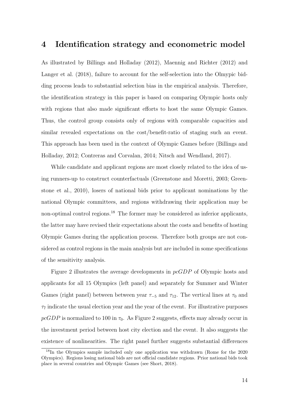## 4 Identification strategy and econometric model

As illustrated by Billings and Holladay (2012), Maennig and Richter (2012) and Langer et al. (2018), failure to account for the self-selection into the Olmypic bidding process leads to substantial selection bias in the empirical analysis. Therefore, the identification strategy in this paper is based on comparing Olympic hosts only with regions that also made significant efforts to host the same Olympic Games. Thus, the control group consists only of regions with comparable capacities and similar revealed expectations on the cost/benefit-ratio of staging such an event. This approach has been used in the context of Olympic Games before (Billings and Holladay, 2012; Contreras and Corvalan, 2014; Nitsch and Wendland, 2017).

While candidate and applicant regions are most closely related to the idea of using runners-up to construct counterfactuals (Greenstone and Moretti, 2003; Greenstone et al., 2010), losers of national bids prior to applicant nominations by the national Olympic committees, and regions withdrawing their application may be non-optimal control regions.<sup>18</sup> The former may be considered as inferior applicants, the latter may have revised their expectations about the costs and benefits of hosting Olympic Games during the application process. Therefore both groups are not considered as control regions in the main analysis but are included in some specifications of the sensitivity analysis.

Figure 2 illustrates the average developments in pcGDP of Olympic hosts and applicants for all 15 Olympics (left panel) and separately for Summer and Winter Games (right panel) between between year  $\tau_{-5}$  and  $\tau_{12}$ . The vertical lines at  $\tau_0$  and  $\tau_{7}$  indicate the usual election year and the year of the event. For illustrative purposes  $pcGDP$  is normalized to 100 in  $\tau_0$ . As Figure 2 suggests, effects may already occur in the investment period between host city election and the event. It also suggests the existence of nonlinearities. The right panel further suggests substantial differences

<sup>&</sup>lt;sup>18</sup>In the Olympics sample included only one application was withdrawn (Rome for the 2020 Olympics). Regions losing national bids are not official candidate regions. Prior national bids took place in several countries and Olympic Games (see Short, 2018).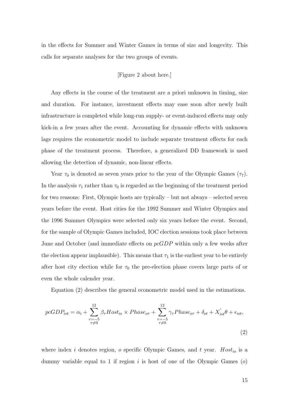in the effects for Summer and Winter Games in terms of size and longevity. This calls for separate analyses for the two groups of events.

### [Figure 2 about here.]

Any effects in the course of the treatment are a priori unknown in timing, size and duration. For instance, investment effects may ease soon after newly built infrastructure is completed while long-run supply- or event-induced effects may only kick-in a few years after the event. Accounting for dynamic effects with unknown lags requires the econometric model to include separate treatment effects for each phase of the treatment process. Therefore, a generalized DD framework is used allowing the detection of dynamic, non-linear effects.

Year  $\tau_0$  is denoted as seven years prior to the year of the Olympic Games ( $\tau_7$ ). In the analysis  $\tau_1$  rather than  $\tau_0$  is regarded as the beginning of the treatment period for two reasons: First, Olympic hosts are typically – but not always – selected seven years before the event. Host cities for the 1992 Summer and Winter Olympics and the 1996 Summer Olympics were selected only six years before the event. Second, for the sample of Olympic Games included, IOC election sessions took place between June and October (and immediate effects on pcGDP within only a few weeks after the election appear implausible). This means that  $\tau_1$  is the earliest year to be entirely after host city election while for  $\tau_0$  the pre-election phase covers large parts of or even the whole calender year.

Equation (2) describes the general econometric model used in the estimations.

$$
pcGDP_{tot} = \alpha_i + \sum_{\substack{\tau = -5 \\ \tau \neq 0}}^{12} \beta_{\tau} Host_{io} \times Phase_{o\tau} + \sum_{\substack{\tau = -5 \\ \tau \neq 0}}^{12} \gamma_{\tau} Phase_{o\tau} + \delta_{ot} + X'_{iot}\theta + \epsilon_{iot},
$$
\n(2)

where index i denotes region, o specific Olympic Games, and t year.  $Host_{io}$  is a dummy variable equal to 1 if region i is host of one of the Olympic Games  $(o)$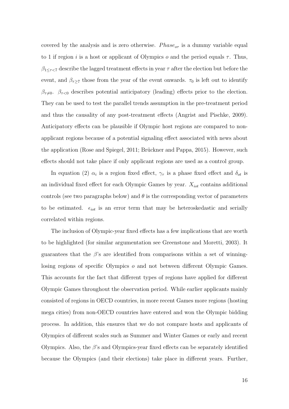covered by the analysis and is zero otherwise.  $Phase<sub>or</sub>$  is a dummy variable equal to 1 if region i is a host or applicant of Olympics o and the period equals  $\tau$ . Thus,  $\beta_{1 \leq \tau \leq 7}$  describe the lagged treatment effects in year  $\tau$  after the election but before the event, and  $\beta_{\tau\geq7}$  those from the year of the event onwards.  $\tau_0$  is left out to identify  $\beta_{\tau\neq0}$ .  $\beta_{\tau<0}$  describes potential anticipatory (leading) effects prior to the election. They can be used to test the parallel trends assumption in the pre-treatment period and thus the causality of any post-treatment effects (Angrist and Pischke, 2009). Anticipatory effects can be plausible if Olympic host regions are compared to nonapplicant regions because of a potential signaling effect associated with news about the application (Rose and Spiegel, 2011; Brückner and Pappa, 2015). However, such effects should not take place if only applicant regions are used as a control group.

In equation (2)  $\alpha_i$  is a region fixed effect,  $\gamma_{\tau}$  is a phase fixed effect and  $\delta_{ot}$  is an individual fixed effect for each Olympic Games by year.  $X_{i\sigma t}$  contains additional controls (see two paragraphs below) and  $\theta$  is the corresponding vector of parameters to be estimated.  $\epsilon_{i\sigma t}$  is an error term that may be heteroskedastic and serially correlated within regions.

The inclusion of Olympic-year fixed effects has a few implications that are worth to be highlighted (for similar argumentation see Greenstone and Moretti, 2003). It guarantees that the  $\beta$ 's are identified from comparisons within a set of winninglosing regions of specific Olympics o and not between different Olympic Games. This accounts for the fact that different types of regions have applied for different Olympic Games throughout the observation period. While earlier applicants mainly consisted of regions in OECD countries, in more recent Games more regions (hosting mega cities) from non-OECD countries have entered and won the Olympic bidding process. In addition, this ensures that we do not compare hosts and applicants of Olympics of different scales such as Summer and Winter Games or early and recent Olympics. Also, the  $\beta$ 's and Olympics-year fixed effects can be separately identified because the Olympics (and their elections) take place in different years. Further,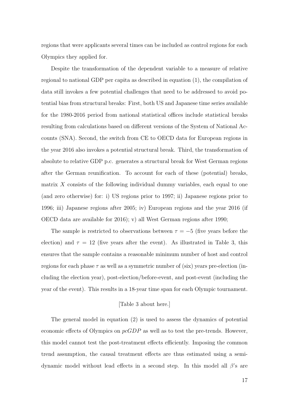regions that were applicants several times can be included as control regions for each Olympics they applied for.

Despite the transformation of the dependent variable to a measure of relative regional to national GDP per capita as described in equation (1), the compilation of data still invokes a few potential challenges that need to be addressed to avoid potential bias from structural breaks: First, both US and Japanese time series available for the 1980-2016 period from national statistical offices include statistical breaks resulting from calculations based on different versions of the System of National Accounts (SNA). Second, the switch from CE to OECD data for European regions in the year 2016 also invokes a potential structural break. Third, the transformation of absolute to relative GDP p.c. generates a structural break for West German regions after the German reunification. To account for each of these (potential) breaks, matrix  $X$  consists of the following individual dummy variables, each equal to one (and zero otherwise) for: i) US regions prior to 1997; ii) Japanese regions prior to 1996; iii) Japanese regions after 2005; iv) European regions and the year 2016 (if OECD data are available for 2016); v) all West German regions after 1990;

The sample is restricted to observations between  $\tau = -5$  (five years before the election) and  $\tau = 12$  (five years after the event). As illustrated in Table 3, this ensures that the sample contains a reasonable minimum number of host and control regions for each phase  $\tau$  as well as a symmetric number of (six) years pre-election (including the election year), post-election/before-event, and post-event (including the year of the event). This results in a 18-year time span for each Olympic tournament.

#### [Table 3 about here.]

The general model in equation (2) is used to assess the dynamics of potential economic effects of Olympics on  $pcGDP$  as well as to test the pre-trends. However, this model cannot test the post-treatment effects efficiently. Imposing the common trend assumption, the causal treatment effects are thus estimated using a semidynamic model without lead effects in a second step. In this model all  $\beta$ 's are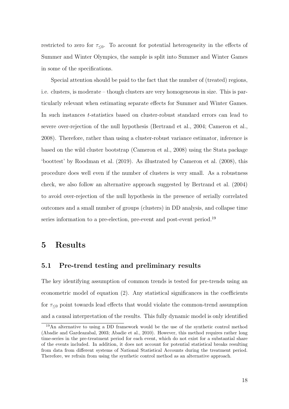restricted to zero for  $\tau_{\leq 0}$ . To account for potential heterogeneity in the effects of Summer and Winter Olympics, the sample is split into Summer and Winter Games in some of the specifications.

Special attention should be paid to the fact that the number of (treated) regions, i.e. clusters, is moderate – though clusters are very homogeneous in size. This is particularly relevant when estimating separate effects for Summer and Winter Games. In such instances t-statistics based on cluster-robust standard errors can lead to severe over-rejection of the null hypothesis (Bertrand et al., 2004; Cameron et al., 2008). Therefore, rather than using a cluster-robust variance estimator, inference is based on the wild cluster bootstrap (Cameron et al., 2008) using the Stata package 'boottest' by Roodman et al. (2019). As illustrated by Cameron et al. (2008), this procedure does well even if the number of clusters is very small. As a robustness check, we also follow an alternative approach suggested by Bertrand et al. (2004) to avoid over-rejection of the null hypothesis in the presence of serially correlated outcomes and a small number of groups (clusters) in DD analysis, and collapse time series information to a pre-election, pre-event and post-event period.<sup>19</sup>

## 5 Results

### 5.1 Pre-trend testing and preliminary results

The key identifying assumption of common trends is tested for pre-trends using an econometric model of equation (2). Any statistical significances in the coefficients for  $\tau_{\leq 0}$  point towards lead effects that would violate the common-trend assumption and a causal interpretation of the results. This fully dynamic model is only identified

<sup>19</sup>An alternative to using a DD framework would be the use of the synthetic control method (Abadie and Gardeazabal, 2003; Abadie et al., 2010). However, this method requires rather long time-series in the pre-treatment period for each event, which do not exist for a substantial share of the events included. In addition, it does not account for potential statistical breaks resulting from data from different systems of National Statistical Accounts during the treatment period. Therefore, we refrain from using the synthetic control method as an alternative approach.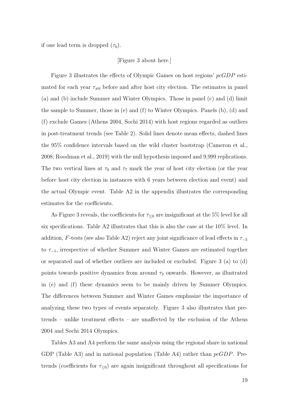if one lead term is dropped  $(\tau_0)$ .

### [Figure 3 about here.]

Figure 3 illustrates the effects of Olympic Games on host regions' pcGDP estimated for each year  $\tau_{\neq 0}$  before and after host city election. The estimates in panel (a) and (b) include Summer and Winter Olympics. Those in panel (c) and (d) limit the sample to Summer, those in (e) and (f) to Winter Olympics. Panels (b), (d) and (f) exclude Games (Athens 2004, Sochi 2014) with host regions regarded as outliers in post-treatment trends (see Table 2). Solid lines denote mean effects, dashed lines the 95% confidence intervals based on the wild cluster bootstrap (Cameron et al., 2008; Roodman et al., 2019) with the null hypothesis imposed and 9,999 replications. The two vertical lines at  $\tau_0$  and  $\tau_7$  mark the year of host city election (or the year before host city election in instances with 6 years between election and event) and the actual Olympic event. Table A2 in the appendix illustrates the corresponding estimates for the coefficients.

As Figure 3 reveals, the coefficients for  $\tau_{\leq 0}$  are insignificant at the 5% level for all six specifications. Table A2 illustrates that this is also the case at the 10% level. In addition, F-tests (see also Table A2) reject any joint significance of lead effects in  $\tau_{-5}$ to  $\tau_{-1}$ , irrespective of whether Summer and Winter Games are estimated together or separated and of whether outliers are included or excluded. Figure 3 (a) to (d) points towards positive dynamics from around  $\tau_3$  onwards. However, as illustrated in (e) and (f) these dynamics seem to be mainly driven by Summer Olympics. The differences between Summer and Winter Games emphasize the importance of analyzing these two types of events separately. Figure 3 also illustrates that pretrends – unlike treatment effects – are unaffected by the exclusion of the Athens 2004 and Sochi 2014 Olympics.

Tables A3 and A4 perform the same analysis using the regional share in national GDP (Table A3) and in national population (Table A4) rather than  $pcGDP$ . Pretrends (coefficients for  $\tau_{\leq 0}$ ) are again insignificant throughout all specifications for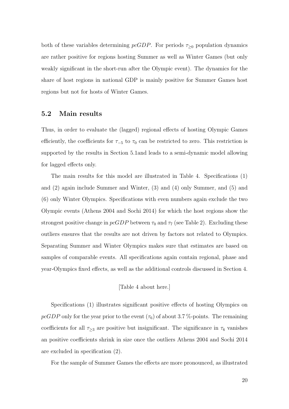both of these variables determining  $pcGDP$ . For periods  $\tau_{\geq 0}$  population dynamics are rather positive for regions hosting Summer as well as Winter Games (but only weakly significant in the short-run after the Olympic event). The dynamics for the share of host regions in national GDP is mainly positive for Summer Games host regions but not for hosts of Winter Games.

### 5.2 Main results

Thus, in order to evaluate the (lagged) regional effects of hosting Olympic Games efficiently, the coefficients for  $\tau_{-5}$  to  $\tau_0$  can be restricted to zero. This restriction is supported by the results in Section 5.1and leads to a semi-dynamic model allowing for lagged effects only.

The main results for this model are illustrated in Table 4. Specifications (1) and (2) again include Summer and Winter, (3) and (4) only Summer, and (5) and (6) only Winter Olympics. Specifications with even numbers again exclude the two Olympic events (Athens 2004 and Sochi 2014) for which the host regions show the strongest positive change in  $pcGDP$  between  $\tau_0$  and  $\tau_7$  (see Table 2). Excluding these outliers ensures that the results are not driven by factors not related to Olympics. Separating Summer and Winter Olympics makes sure that estimates are based on samples of comparable events. All specifications again contain regional, phase and year-Olympics fixed effects, as well as the additional controls discussed in Section 4.

### [Table 4 about here.]

Specifications (1) illustrates significant positive effects of hosting Olympics on  $pcGDP$  only for the year prior to the event  $(\tau_6)$  of about 3.7 %-points. The remaining coefficients for all  $\tau_{\geq 3}$  are positive but insignificant. The significance in  $\tau_6$  vanishes an positive coefficients shrink in size once the outliers Athens 2004 and Sochi 2014 are excluded in specification (2).

For the sample of Summer Games the effects are more pronounced, as illustrated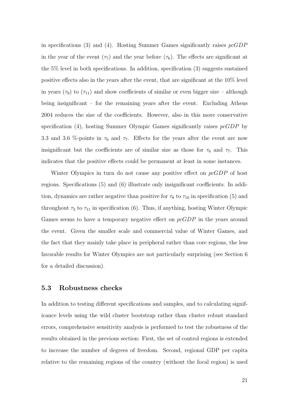in specifications (3) and (4). Hosting Summer Games significantly raises  $pcGDP$ in the year of the event  $(\tau_7)$  and the year before  $(\tau_6)$ . The effects are significant at the 5% level in both specifications. In addition, specification (3) suggests sustained positive effects also in the years after the event, that are significant at the 10% level in years ( $\tau_9$ ) to ( $\tau_{11}$ ) and show coefficients of similar or even bigger size – although being insignificant – for the remaining years after the event. Excluding Athens 2004 reduces the size of the coefficients. However, also in this more conservative specification (4), hosting Summer Olympic Games significantly raises  $pcGDP$  by 3.3 and 3.6 %-points in  $\tau_6$  and  $\tau_7$ . Effects for the years after the event are now insignificant but the coefficients are of similar size as those for  $\tau_6$  and  $\tau_7$ . This indicates that the positive effects could be permanent at least in some instances.

Winter Olympics in turn do not cause any positive effect on pcGDP of host regions. Specifications (5) and (6) illustrate only insignificant coefficients. In addition, dynamics are rather negative than positive for  $\tau_8$  to  $\tau_{10}$  in specification (5) and throughout  $\tau_2$  to  $\tau_{11}$  in specification (6). Thus, if anything, hosting Winter Olympic Games seems to have a temporary negative effect on  $pcGDP$  in the years around the event. Given the smaller scale and commercial value of Winter Games, and the fact that they mainly take place in peripheral rather than core regions, the less favorable results for Winter Olympics are not particularly surprising (see Section 6 for a detailed discussion).

### 5.3 Robustness checks

In addition to testing different specifications and samples, and to calculating significance levels using the wild cluster bootstrap rather than cluster robust standard errors, comprehensive sensitivity analysis is performed to test the robustness of the results obtained in the previous section: First, the set of control regions is extended to increase the number of degrees of freedom. Second, regional GDP per capita relative to the remaining regions of the country (without the focal region) is used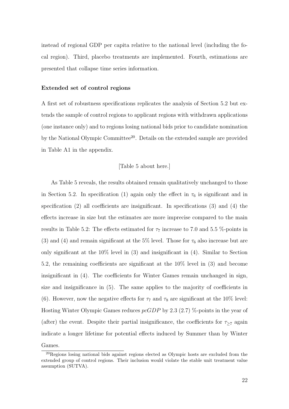instead of regional GDP per capita relative to the national level (including the focal region). Third, placebo treatments are implemented. Fourth, estimations are presented that collapse time series information.

#### Extended set of control regions

A first set of robustness specifications replicates the analysis of Section 5.2 but extends the sample of control regions to applicant regions with withdrawn applications (one instance only) and to regions losing national bids prior to candidate nomination by the National Olympic Committee<sup>20</sup>. Details on the extended sample are provided in Table A1 in the appendix.

#### [Table 5 about here.]

As Table 5 reveals, the results obtained remain qualitatively unchanged to those in Section 5.2. In specification (1) again only the effect in  $\tau_6$  is significant and in specification (2) all coefficients are insignificant. In specifications (3) and (4) the effects increase in size but the estimates are more imprecise compared to the main results in Table 5.2: The effects estimated for  $\tau_7$  increase to 7.0 and 5.5 %-points in (3) and (4) and remain significant at the 5% level. Those for  $\tau_6$  also increase but are only significant at the 10% level in (3) and insignificant in (4). Similar to Section 5.2, the remaining coefficients are significant at the 10% level in (3) and become insignificant in (4). The coefficients for Winter Games remain unchanged in sign, size and insignificance in (5). The same applies to the majority of coefficients in (6). However, now the negative effects for  $\tau_7$  and  $\tau_8$  are significant at the 10% level: Hosting Winter Olympic Games reduces  $pcGDP$  by 2.3 (2.7) %-points in the year of (after) the event. Despite their partial insignificance, the coefficients for  $\tau_{\geq 7}$  again indicate a longer lifetime for potential effects induced by Summer than by Winter Games.

<sup>&</sup>lt;sup>20</sup>Regions losing national bids against regions elected as Olympic hosts are excluded from the extended group of control regions. Their inclusion would violate the stable unit treatment value assumption (SUTVA).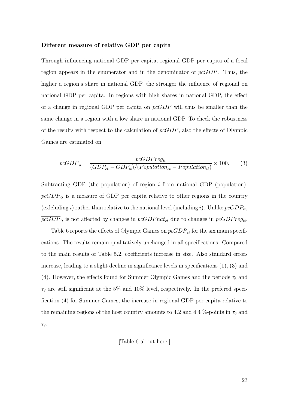#### Different measure of relative GDP per capita

Through influencing national GDP per capita, regional GDP per capita of a focal region appears in the enumerator and in the denominator of  $pcGDP$ . Thus, the higher a region's share in national GDP, the stronger the influence of regional on national GDP per capita. In regions with high shares in national GDP, the effect of a change in regional GDP per capita on  $pcGDP$  will thus be smaller than the same change in a region with a low share in national GDP. To check the robustness of the results with respect to the calculation of  $pcGDP$ , also the effects of Olympic Games are estimated on

$$
\overline{p c GDP}_{it} = \frac{p c GDP r e g_{it}}{(GDP_{ct} - GDP_{it})/(Population_{ct} - Population_{it})} \times 100.
$$
 (3)

Subtracting GDP (the population) of region  $i$  from national GDP (population),  $pcGDP_{it}$  is a measure of GDP per capita relative to other regions in the country (exlcluding i) rather than relative to the national level (including i). Unlike  $pcGDP_{it}$ ,  $pcGDP_{it}$  is not affected by changes in  $pcGDPnat_{ct}$  due to changes in  $pcGDPreg_{it}$ .

Table 6 reports the effects of Olympic Games on  $\overline{p_{cGDP}}_{it}$  for the six main specifications. The results remain qualitatively unchanged in all specifications. Compared to the main results of Table 5.2, coefficients increase in size. Also standard errors increase, leading to a slight decline in significance levels in specifications (1), (3) and (4). However, the effects found for Summer Olympic Games and the periods  $\tau_6$  and  $\tau_7$  are still significant at the 5% and 10% level, respectively. In the prefered specification (4) for Summer Games, the increase in regional GDP per capita relative to the remaining regions of the host country amounts to 4.2 and 4.4 %-points in  $\tau_6$  and  $\tau$ .

[Table 6 about here.]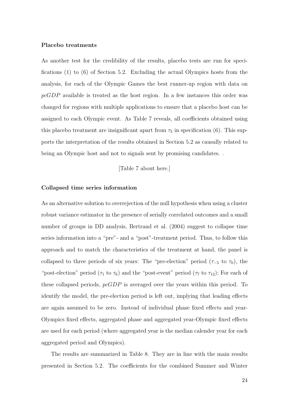#### Placebo treatments

As another test for the credibility of the results, placebo tests are run for specifications (1) to (6) of Section 5.2. Excluding the actual Olympics hosts from the analysis, for each of the Olympic Games the best runner-up region with data on pcGDP available is treated as the host region. In a few instances this order was changed for regions with multiple applications to ensure that a placebo host can be assigned to each Olympic event. As Table 7 reveals, all coefficients obtained using this placebo treatment are insignificant apart from  $\tau_5$  in specification (6). This supports the interpretation of the results obtained in Section 5.2 as causally related to being an Olympic host and not to signals sent by promising candidates. .

[Table 7 about here.]

#### Collapsed time series information

As an alternative solution to overrejection of the null hypothesis when using a cluster robust variance estimator in the presence of serially correlated outcomes and a small number of groups in DD analysis, Bertrand et al. (2004) suggest to collapse time series information into a "pre"- and a "post"-treatment period. Thus, to follow this approach and to match the characteristics of the treatment at hand, the panel is collapsed to three periods of six years: The "pre-election" period ( $\tau_{-5}$  to  $\tau_0$ ), the "post-election" period ( $\tau_1$  to  $\tau_6$ ) and the "post-event" period ( $\tau_7$  to  $\tau_{12}$ ); For each of these collapsed periods,  $pcGDP$  is averaged over the years within this period. To identify the model, the pre-election period is left out, implying that leading effects are again assumed to be zero. Instead of individual phase fixed effects and year-Olympics fixed effects, aggregated phase and aggregated year-Olympic fixed effects are used for each period (where aggregated year is the median calender year for each aggregated period and Olympics).

The results are summarized in Table 8. They are in line with the main results presented in Section 5.2. The coefficients for the combined Summer and Winter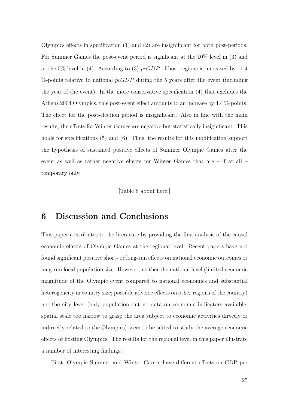Olympics effects in specification (1) and (2) are insignificant for both post-periods. For Summer Games the post-event period is significant at the 10% level in (3) and at the 5% level in (4). According to (3)  $pcGDP$  of host regions is increased by 11.4  $\%$ -points relative to national  $pcGDP$  during the 5 years after the event (including the year of the event). In the more conservative specification (4) that excludes the Athens 2004 Olympics, this post-event effect amounts to an increase by 4.4 %-points. The effect for the post-election period is insignificant. Also in line with the main results, the effects for Winter Games are negative but statistically insignificant. This holds for specifications (5) and (6). Thus, the results for this modification support the hypothesis of sustained positive effects of Summer Olympic Games after the event as well as rather negative effects for Winter Games that are – if at all – temporary only.

[Table 8 about here.]

# 6 Discussion and Conclusions

This paper contributes to the literature by providing the first analysis of the causal economic effects of Olympic Games at the regional level. Recent papers have not found significant positive short- or long-run effects on national economic outcomes or long-run local population size. However, neither the national level (limited economic magnitude of the Olympic event compared to national economies and substantial heterogeneity in country size; possible adverse effects on other regions of the country) nor the city level (only population but no data on economic indicators available; spatial scale too narrow to grasp the area subject to economic activities directly or indirectly related to the Olympics) seem to be suited to study the average economic effects of hosting Olympics. The results for the regional level in this paper illustrate a number of interesting findings:

First, Olympic Summer and Winter Games have different effects on GDP per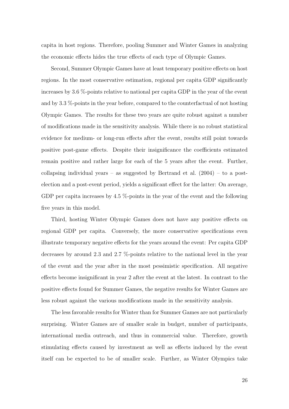capita in host regions. Therefore, pooling Summer and Winter Games in analyzing the economic effects hides the true effects of each type of Olympic Games.

Second, Summer Olympic Games have at least temporary positive effects on host regions. In the most conservative estimation, regional per capita GDP significantly increases by 3.6 %-points relative to national per capita GDP in the year of the event and by 3.3 %-points in the year before, compared to the counterfactual of not hosting Olympic Games. The results for these two years are quite robust against a number of modifications made in the sensitivity analysis. While there is no robust statistical evidence for medium- or long-run effects after the event, results still point towards positive post-game effects. Despite their insignificance the coefficients estimated remain positive and rather large for each of the 5 years after the event. Further, collapsing individual years – as suggested by Bertrand et al.  $(2004)$  – to a postelection and a post-event period, yields a significant effect for the latter: On average, GDP per capita increases by 4.5 %-points in the year of the event and the following five years in this model.

Third, hosting Winter Olympic Games does not have any positive effects on regional GDP per capita. Conversely, the more conservative specifications even illustrate temporary negative effects for the years around the event: Per capita GDP decreases by around 2.3 and 2.7 %-points relative to the national level in the year of the event and the year after in the most pessimistic specification. All negative effects become insignificant in year 2 after the event at the latest. In contrast to the positive effects found for Summer Games, the negative results for Winter Games are less robust against the various modifications made in the sensitivity analysis.

The less favorable results for Winter than for Summer Games are not particularly surprising. Winter Games are of smaller scale in budget, number of participants, international media outreach, and thus in commercial value. Therefore, growth stimulating effects caused by investment as well as effects induced by the event itself can be expected to be of smaller scale. Further, as Winter Olympics take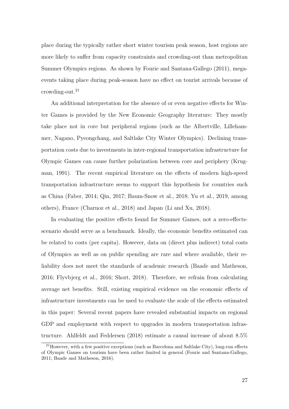place during the typically rather short winter tourism peak season, host regions are more likely to suffer from capacity constraints and crowding-out than metropolitan Summer Olympics regions. As shown by Fourie and Santana-Gallego (2011), megaevents taking place during peak-season have no effect on tourist arrivals because of crowding-out. $21$ 

An additional interpretation for the absence of or even negative effects for Winter Games is provided by the New Economic Geography literature: They mostly take place not in core but peripheral regions (such as the Albertville, Lillehammer, Nagano, Pyeongchang, and Saltlake City Winter Olympics). Declining transportation costs due to investments in inter-regional transportation infrastructure for Olympic Games can cause further polarization between core and periphery (Krugman, 1991). The recent empirical literature on the effects of modern high-speed transportation infrastructure seems to support this hypothesis for countries such as China (Faber, 2014; Qin, 2017; Baum-Snow et al., 2018; Yu et al., 2019, among others), France (Charnoz et al., 2018) and Japan (Li and Xu, 2018).

In evaluating the positive effects found for Summer Games, not a zero-effectsscenario should serve as a benchmark. Ideally, the economic benefits estimated can be related to costs (per capita). However, data on (direct plus indirect) total costs of Olympics as well as on public spending are rare and where available, their reliability does not meet the standards of academic research (Baade and Matheson, 2016; Flyvbjerg et al., 2016; Short, 2018). Therefore, we refrain from calculating average net benefits. Still, existing empirical evidence on the economic effects of infrastructure investments can be used to evaluate the scale of the effects estimated in this paper: Several recent papers have revealed substantial impacts on regional GDP and employment with respect to upgrades in modern transportation infrastructure. Ahlfeldt and Feddersen (2018) estimate a causal increase of about 8.5%

<sup>&</sup>lt;sup>21</sup>However, with a few positive exceptions (such as Barcelona and Saltlake City), long-run effects of Olympic Games on tourism have been rather limited in general (Fourie and Santana-Gallego, 2011; Baade and Matheson, 2016).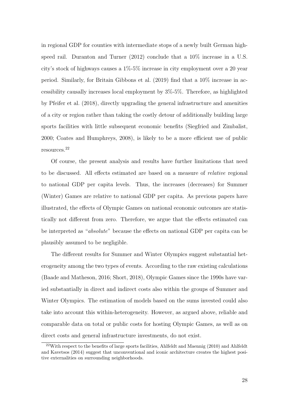in regional GDP for counties with intermediate stops of a newly built German highspeed rail. Duranton and Turner (2012) conclude that a 10% increase in a U.S. city's stock of highways causes a 1%-5% increase in city employment over a 20 year period. Similarly, for Britain Gibbons et al. (2019) find that a 10% increase in accessibility causally increases local employment by 3%-5%. Therefore, as highlighted by Pfeifer et al. (2018), directly upgrading the general infrastructure and amenities of a city or region rather than taking the costly detour of additionally building large sports facilities with little subsequent economic benefits (Siegfried and Zimbalist, 2000; Coates and Humphreys, 2008), is likely to be a more efficient use of public resources.<sup>22</sup>

Of course, the present analysis and results have further limitations that need to be discussed. All effects estimated are based on a measure of *relative* regional to national GDP per capita levels. Thus, the increases (decreases) for Summer (Winter) Games are relative to national GDP per capita. As previous papers have illustrated, the effects of Olympic Games on national economic outcomes are statistically not different from zero. Therefore, we argue that the effects estimated can be interpreted as "*absolute*" because the effects on national GDP per capita can be plausibly assumed to be negligible.

The different results for Summer and Winter Olympics suggest substantial heterogeneity among the two types of events. According to the raw existing calculations (Baade and Matheson, 2016; Short, 2018), Olympic Games since the 1990s have varied substantially in direct and indirect costs also within the groups of Summer and Winter Olympics. The estimation of models based on the sums invested could also take into account this within-heterogeneity. However, as argued above, reliable and comparable data on total or public costs for hosting Olympic Games, as well as on direct costs and general infrastructure investments, do not exist.

 $22$ With respect to the benefits of large sports facilities, Ahlfeldt and Maennig (2010) and Ahlfeldt and Kavetsos (2014) suggest that unconventional and iconic architecture creates the highest positive externalities on surrounding neighborhoods.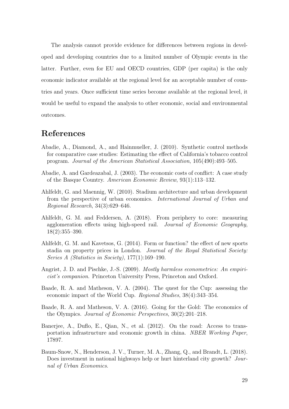The analysis cannot provide evidence for differences between regions in developed and developing countries due to a limited number of Olympic events in the latter. Further, even for EU and OECD countries, GDP (per capita) is the only economic indicator available at the regional level for an acceptable number of countries and years. Once sufficient time series become available at the regional level, it would be useful to expand the analysis to other economic, social and environmental outcomes.

## References

- Abadie, A., Diamond, A., and Hainmueller, J. (2010). Synthetic control methods for comparative case studies: Estimating the effect of California's tobacco control program. Journal of the American Statistical Association, 105(490):493–505.
- Abadie, A. and Gardeazabal, J. (2003). The economic costs of conflict: A case study of the Basque Country. American Economic Review, 93(1):113–132.
- Ahlfeldt, G. and Maennig, W. (2010). Stadium architecture and urban development from the perspective of urban economics. International Journal of Urban and Regional Research, 34(3):629–646.
- Ahlfeldt, G. M. and Feddersen, A. (2018). From periphery to core: measuring agglomeration effects using high-speed rail. Journal of Economic Geography, 18(2):355–390.
- Ahlfeldt, G. M. and Kavetsos, G. (2014). Form or function? the effect of new sports stadia on property prices in London. Journal of the Royal Statistical Society: Series A (Statistics in Society), 177(1):169–190.
- Angrist, J. D. and Pischke, J.-S. (2009). *Mostly harmless econometrics: An empiri*cist's companion. Princeton University Press, Princeton and Oxford.
- Baade, R. A. and Matheson, V. A. (2004). The quest for the Cup: assessing the economic impact of the World Cup. Regional Studies, 38(4):343–354.
- Baade, R. A. and Matheson, V. A. (2016). Going for the Gold: The economics of the Olympics. Journal of Economic Perspectives, 30(2):201–218.
- Banerjee, A., Duflo, E., Qian, N., et al. (2012). On the road: Access to transportation infrastructure and economic growth in china. NBER Working Paper, 17897.
- Baum-Snow, N., Henderson, J. V., Turner, M. A., Zhang, Q., and Brandt, L. (2018). Does investment in national highways help or hurt hinterland city growth? Journal of Urban Economics.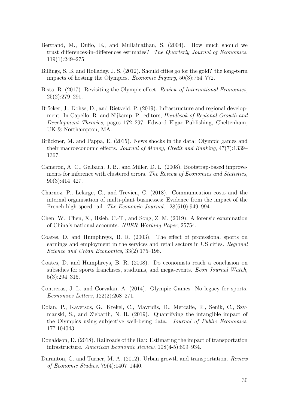- Bertrand, M., Duflo, E., and Mullainathan, S. (2004). How much should we trust differences-in-differences estimates? The Quarterly Journal of Economics, 119(1):249–275.
- Billings, S. B. and Holladay, J. S. (2012). Should cities go for the gold? the long-term impacts of hosting the Olympics. Economic Inquiry, 50(3):754–772.
- Bista, R. (2017). Revisiting the Olympic effect. Review of International Economics,  $25(2):279-291.$
- Bröcker, J., Dohse, D., and Rietveld, P. (2019). Infrastructure and regional development. In Capello, R. and Nijkamp, P., editors, Handbook of Regional Growth and Development Theories, pages 172–297. Edward Elgar Publishing, Cheltenham, UK & Northampton, MA.
- Brückner, M. and Pappa, E. (2015). News shocks in the data: Olympic games and their macroeconomic effects. Journal of Money, Credit and Banking, 47(7):1339– 1367.
- Cameron, A. C., Gelbach, J. B., and Miller, D. L. (2008). Bootstrap-based improvements for inference with clustered errors. The Review of Economics and Statistics, 90(3):414–427.
- Charnoz, P., Lelarge, C., and Trevien, C. (2018). Communication costs and the internal organisation of multi-plant businesses: Evidence from the impact of the French high-speed rail. The Economic Journal, 128(610):949–994.
- Chen, W., Chen, X., Hsieh, C.-T., and Song, Z. M. (2019). A forensic examination of China's national accounts. NBER Working Paper, 25754.
- Coates, D. and Humphreys, B. R. (2003). The effect of professional sports on earnings and employment in the services and retail sectors in US cities. Regional Science and Urban Economics, 33(2):175–198.
- Coates, D. and Humphreys, B. R. (2008). Do economists reach a conclusion on subsidies for sports franchises, stadiums, and mega-events. Econ Journal Watch, 5(3):294–315.
- Contreras, J. L. and Corvalan, A. (2014). Olympic Games: No legacy for sports. Economics Letters, 122(2):268–271.
- Dolan, P., Kavetsos, G., Krekel, C., Mavridis, D., Metcalfe, R., Senik, C., Szymanski, S., and Ziebarth, N. R. (2019). Quantifying the intangible impact of the Olympics using subjective well-being data. Journal of Public Economics, 177:104043.
- Donaldson, D. (2018). Railroads of the Raj: Estimating the impact of transportation infrastructure. American Economic Review, 108(4-5):899–934.
- Duranton, G. and Turner, M. A. (2012). Urban growth and transportation. Review of Economic Studies, 79(4):1407–1440.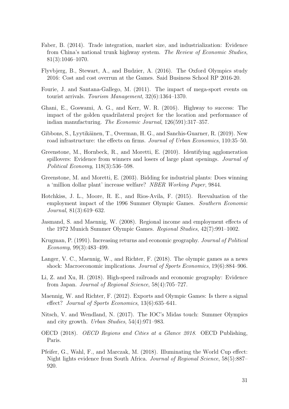- Faber, B. (2014). Trade integration, market size, and industrialization: Evidence from China's national trunk highway system. The Review of Economic Studies, 81(3):1046–1070.
- Flyvbjerg, B., Stewart, A., and Budzier, A. (2016). The Oxford Olympics study 2016: Cost and cost overrun at the Games. Said Business School RP 2016-20.
- Fourie, J. and Santana-Gallego, M. (2011). The impact of mega-sport events on tourist arrivals. Tourism Management, 32(6):1364–1370.
- Ghani, E., Goswami, A. G., and Kerr, W. R. (2016). Highway to success: The impact of the golden quadrilateral project for the location and performance of indian manufacturing. The Economic Journal, 126(591):317–357.
- Gibbons, S., Lyytikäinen, T., Overman, H. G., and Sanchis-Guarner, R. (2019). New road infrastructure: the effects on firms. *Journal of Urban Economics*, 110:35–50.
- Greenstone, M., Hornbeck, R., and Moretti, E. (2010). Identifying agglomeration spillovers: Evidence from winners and losers of large plant openings. *Journal of* Political Economy, 118(3):536–598.
- Greenstone, M. and Moretti, E. (2003). Bidding for industrial plants: Does winning a 'million dollar plant' increase welfare? NBER Working Paper, 9844.
- Hotchkiss, J. L., Moore, R. E., and Rios-Avila, F. (2015). Reevaluation of the employment impact of the 1996 Summer Olympic Games. Southern Economic Journal, 81(3):619–632.
- Jasmand, S. and Maennig, W. (2008). Regional income and employment effects of the 1972 Munich Summer Olympic Games. Regional Studies, 42(7):991–1002.
- Krugman, P. (1991). Increasing returns and economic geography. Journal of Political Economy, 99(3):483–499.
- Langer, V. C., Maennig, W., and Richter, F. (2018). The olympic games as a news shock: Macroeconomic implications. Journal of Sports Economics, 19(6):884–906.
- Li, Z. and Xu, H. (2018). High-speed railroads and economic geography: Evidence from Japan. Journal of Regional Science, 58(4):705–727.
- Maennig, W. and Richter, F. (2012). Exports and Olympic Games: Is there a signal effect? Journal of Sports Economics, 13(6):635–641.
- Nitsch, V. and Wendland, N. (2017). The IOC's Midas touch: Summer Olympics and city growth. Urban Studies, 54(4):971–983.
- OECD (2018). OECD Regions and Cities at a Glance 2018. OECD Publishing, Paris.
- Pfeifer, G., Wahl, F., and Marczak, M. (2018). Illuminating the World Cup effect: Night lights evidence from South Africa. Journal of Regional Science, 58(5):887– 920.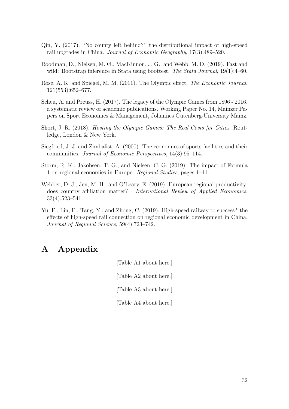- Qin, Y. (2017). 'No county left behind?' the distributional impact of high-speed rail upgrades in China. Journal of Economic Geography, 17(3):489–520.
- Roodman, D., Nielsen, M. Ø., MacKinnon, J. G., and Webb, M. D. (2019). Fast and wild: Bootstrap inference in Stata using boottest. The Stata Journal, 19(1):4–60.
- Rose, A. K. and Spiegel, M. M. (2011). The Olympic effect. The Economic Journal, 121(553):652–677.
- Scheu, A. and Preuss, H. (2017). The legacy of the Olympic Games from 1896 2016. a systematic review of academic publications. Working Paper No. 14, Mainzer Papers on Sport Economics & Management, Johannes Gutenberg-University Mainz.
- Short, J. R. (2018). Hosting the Olympic Games: The Real Costs for Cities. Routledge, London & New York.
- Siegfried, J. J. and Zimbalist, A. (2000). The economics of sports facilities and their communities. Journal of Economic Perspectives, 14(3):95–114.
- Storm, R. K., Jakobsen, T. G., and Nielsen, C. G. (2019). The impact of Formula 1 on regional economies in Europe. Regional Studies, pages 1–11.
- Webber, D. J., Jen, M. H., and O'Leary, E. (2019). European regional productivity: does country affiliation matter? International Review of Applied Economics, 33(4):523–541.
- Yu, F., Lin, F., Tang, Y., and Zhong, C. (2019). High-speed railway to success? the effects of high-speed rail connection on regional economic development in China. Journal of Regional Science, 59(4):723–742.

# A Appendix

[Table A1 about here.] [Table A2 about here.] [Table A3 about here.] [Table A4 about here.]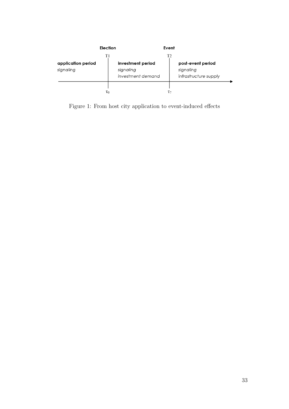

Figure 1: From host city application to event-induced effects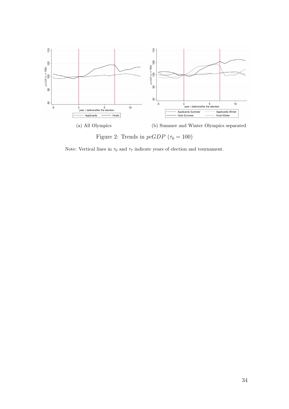

Figure 2: Trends in  $pcGDP$  ( $\tau_0 = 100$ )

Note: Vertical lines in  $\tau_0$  and  $\tau_7$  indicate years of election and tournament.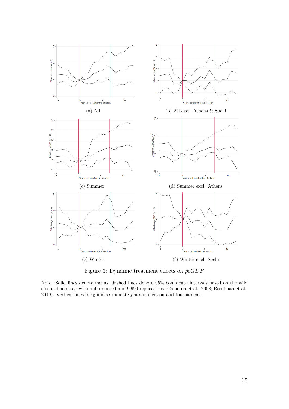

Figure 3: Dynamic treatment effects on pcGDP

Note: Solid lines denote means, dashed lines denote 95% confidence intervals based on the wild cluster bootstrap with null imposed and 9,999 replications (Cameron et al., 2008; Roodman et al., 2019). Vertical lines in  $\tau_0$  and  $\tau_7$  indicate years of election and tournament.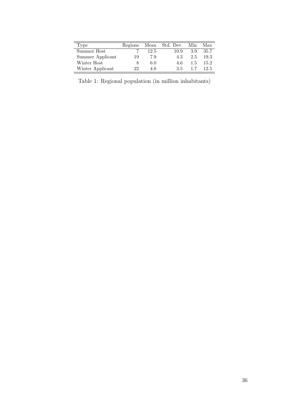| Type             | Regions | Mean | Std. Dev. | Min | Max  |
|------------------|---------|------|-----------|-----|------|
| Summer Host      |         | 12.5 | 10.9      | 3.9 | 35.7 |
| Summer Applicant | 19      | 7.9  | 4.3       | 2.5 | 19.3 |
| Winter Host      |         | 6.0  | 4.6       | 1.5 | 15.2 |
| Winter Applicant | 99      | 4.8  | 3.5       | 17  | 12.5 |

Table 1: Regional population (in million inhabitants)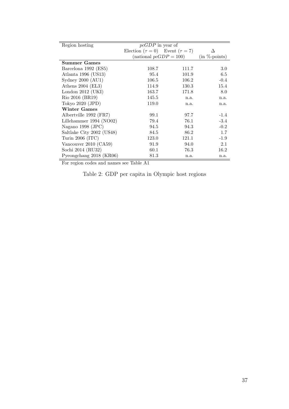| Region hosting            | $pcGDP$ in year of                           |       |                 |
|---------------------------|----------------------------------------------|-------|-----------------|
|                           | Election ( $\tau = 0$ ) Event ( $\tau = 7$ ) |       |                 |
|                           | (national $pcGDP = 100$ )                    |       | $(in %-points)$ |
| <b>Summer Games</b>       |                                              |       |                 |
| Barcelona 1992 (ES5)      | 108.7                                        | 111.7 | 3.0             |
| Atlanta 1996 (US13)       | 95.4                                         | 101.9 | 6.5             |
| Sydney $2000$ (AU1)       | 106.5                                        | 106.2 | $-0.4$          |
|                           |                                              |       |                 |
| Athens $2004$ (EL3)       | 114.9                                        | 130.3 | 15.4            |
| London $2012$ (UKI)       | 163.7                                        | 171.8 | 8.0             |
| Rio 2016 (BR19)           | 145.5                                        | n.a.  | n.a.            |
| Tokyo 2020 (JPD)          | 119.0                                        | n.a.  | n.a.            |
| <b>Winter Games</b>       |                                              |       |                 |
| Albertville 1992 (FR7)    | 99.1                                         | 97.7  | $-1.4$          |
| Lillehammer $1994 (NO02)$ | 79.4                                         | 76.1  | $-3.4$          |
| Nagano 1998 (JPC)         | 94.5                                         | 94.3  | $-0.2$          |
| Saltlake City 2002 (US48) | 84.5                                         | 86.2  | 1.7             |
| Turin 2006 (ITC)          | 123.0                                        | 121.1 | $-1.9$          |
| Vancouver 2010 (CA59)     | 91.9                                         | 94.0  | 2.1             |
| Sochi 2014 (RU32)         | 60.1                                         | 76.3  | 16.2            |
| Pyeongchang 2018 (KR06)   | 81.3                                         | n.a.  | n.a.            |

For region codes and names see Table A1

Table 2: GDP per capita in Olympic host regions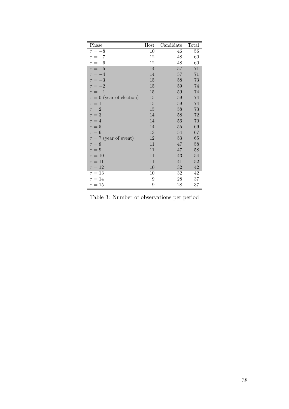| Phase                         | Host | $\overline{\text{C}}$ andidate | Total  |
|-------------------------------|------|--------------------------------|--------|
| $\tau = -8$                   | 10   | 46                             | 56     |
| $\tau = -7$                   | 12   | 48                             | 60     |
| $\tau = -6$                   | 12   | 48                             | 60     |
| $\tau = -5$                   | 14   | $57\,$                         | 71     |
| $\tau = -4$                   | 14   | 57                             | 71     |
| $\tau=-3$                     | 15   | 58                             | 73     |
| $\tau = -2$                   | 15   | 59                             | 74     |
| $\tau = -1$                   | 15   | 59                             | 74     |
| $\tau = 0$ (year of election) | 15   | 59                             | 74     |
| $\tau=1$                      | 15   | 59                             | 74     |
| $\tau = 2$                    | 15   | 58                             | 73     |
| $\tau = 3$                    | 14   | 58                             | $72\,$ |
| $\tau = 4$                    | 14   | 56                             | 70     |
| $\tau=5$                      | 14   | $55\,$                         | 69     |
| $\tau = 6$                    | 13   | 54                             | 67     |
| $\tau = 7$ (year of event)    | 12   | 53                             | 65     |
| $\tau = 8$                    | 11   | 47                             | 58     |
| $\tau = 9$                    | 11   | 47                             | 58     |
| $\tau = 10$                   | 11   | 43                             | 54     |
| $\tau=11$                     | 11   | 41                             | 52     |
| $\tau = 12$                   | 10   | 32                             | 42     |
| $\tau = 13$                   | 10   | 32                             | 42     |
| $\tau=14$                     | 9    | 28                             | 37     |
| $\tau = 15$                   | 9    | 28                             | 37     |

Table 3: Number of observations per period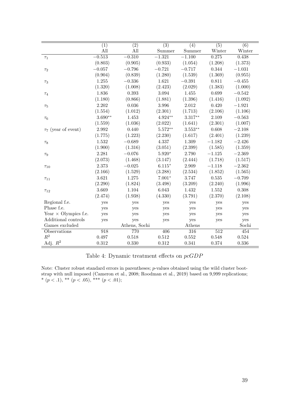|                             | $\overline{(1)}$ | $\overline{(2)}$ | $\overline{(3)}$ | $\overline{(4)}$ | $\overline{(5)}$ | $\overline{(6)}$ |
|-----------------------------|------------------|------------------|------------------|------------------|------------------|------------------|
|                             | All              | All              | Summer           | Summer           | Winter           | Winter           |
| $\tau_1$                    | $-0.513$         | $-0.310$         | $-1.321$         | $-1.100$         | 0.275            | 0.438            |
|                             | (0.803)          | (0.905)          | (0.933)          | (1.054)          | (1.208)          | (1.373)          |
| $\tau_2$                    | $-0.057$         | $-0.796$         | $-0.721$         | $-0.717$         | 0.344            | $-1.031$         |
|                             | (0.904)          | (0.839)          | (1.280)          | (1.539)          | (1.369)          | (0.955)          |
| $\tau_3$                    | 1.255            | $-0.336$         | 1.621            | $-0.391$         | 0.811            | $-0.455$         |
|                             | (1.320)          | (1.008)          | (2.423)          | (2.029)          | (1.383)          | (1.000)          |
| $\tau_4$                    | 1.836            | 0.393            | 3.094            | 1.455            | 0.699            | $-0.542$         |
|                             | (1.180)          | (0.866)          | (1.881)          | (1.396)          | (1.416)          | (1.092)          |
| $\tau_5$                    | 2.202            | 0.036            | 3.996            | 2.012            | 0.420            | $-1.921$         |
|                             | (1.554)          | (1.012)          | (2.301)          | (1.713)          | (2.106)          | (1.106)          |
| $\tau_6$                    | $3.690**$        | 1.453            | $4.924**$        | $3.317**$        | 2.109            | $-0.563$         |
|                             | (1.559)          | (1.036)          | (2.022)          | (1.641)          | (2.301)          | (1.007)          |
| $\tau_7$ (year of event)    | 2.992            | 0.440            | $5.572**$        | $3.553**$        | 0.608            | $-2.108$         |
|                             | (1.775)          | (1.223)          | (2.230)          | (1.617)          | (2.401)          | (1.239)          |
| $\tau_8$                    | 1.532            | $-0.689$         | 4.337            | 1.309            | $-1.182$         | $-2.426$         |
|                             | (1.900)          | (1.316)          | (3.051)          | (2.399)          | (1.585)          | (1.359)          |
| $\tau_9$                    | 2.281            | $-0.076$         | $5.920*$         | 2.790            | $-1.125$         | $-2.369$         |
|                             | (2.073)          | (1.468)          | (3.147)          | (2.444)          | (1.718)          | (1.517)          |
| $\tau_{10}$                 | 2.373            | $-0.025$         | $6.115*$         | 2.909            | $-1.118$         | $-2.362$         |
|                             | (2.166)          | (1.529)          | (3.288)          | (2.534)          | (1.852)          | (1.565)          |
| $\tau_{11}$                 | 3.621            | 1.275            | $7.001*$         | 3.747            | 0.535            | $-0.709$         |
|                             | (2.290)          | (1.824)          | (3.498)          | (3.209)          | (2.240)          | (1.996)          |
| $\tau_{12}$                 | 3.669            | 1.104            | 6.043            | 1.432            | 1.552            | $0.308\,$        |
|                             | (2.474)          | (1.938)          | (4.330)          | (3.791)          | (2.370)          | (2.108)          |
| Regional f.e.               | yes              | yes              | yes              | yes              | yes              | yes              |
| Phase f.e.                  | yes              | yes              | yes              | yes              | yes              | yes              |
| Year $\times$ Olympics f.e. | yes              | yes              | yes              | yes              | yes              | yes              |
| Additional controls         | yes              | yes              | yes              | yes              | yes              | yes              |
| Games excluded              |                  | Athens, Sochi    |                  | Athens           |                  | Sochi            |
| Observations                | 918              | 770              | 406              | 316              | 512              | 454              |
| $R^2$                       | 0.497            | 0.518            | 0.512            | 0.552            | 0.548            | 0.524            |
| Adj. $R^2$                  | 0.312            | 0.330            | $0.312\,$        | 0.341            | 0.374            | 0.336            |

Table 4: Dynamic treatment effects on pcGDP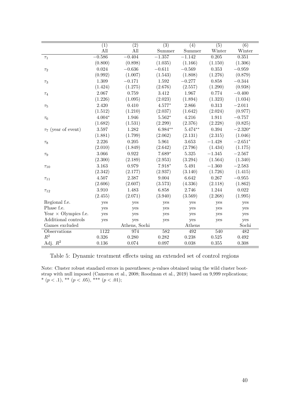|                             | $\overline{(1)}$ | $\overline{(2)}$ | $\overline{(3)}$ | $\overline{(4)}$ | $\overline{(5)}$ | $\overline{(6)}$ |
|-----------------------------|------------------|------------------|------------------|------------------|------------------|------------------|
|                             | All              | All              | Summer           | Summer           | Winter           | Winter           |
| $\tau_1$                    | $-0.586$         | $-0.404$         | $-1.357$         | $-1.142$         | 0.205            | 0.351            |
|                             | (0.800)          | (0.898)          | (1.035)          | (1.166)          | (1.150)          | (1.306)          |
| $\tau_2$                    | 0.024            | $-0.636$         | $-0.611$         | $-0.569$         | 0.353            | $-0.959$         |
|                             | (0.992)          | (1.007)          | (1.543)          | (1.808)          | (1.276)          | (0.879)          |
| $\tau_3$                    | 1.309            | $-0.171$         | 1.592            | $-0.277$         | 0.858            | $-0.344$         |
|                             | (1.424)          | (1.275)          | (2.676)          | (2.557)          | (1.290)          | (0.938)          |
| $\tau_4$                    | 2.067            | 0.759            | 3.412            | 1.967            | 0.774            | $-0.400$         |
|                             | (1.226)          | (1.095)          | (2.023)          | (1.894)          | (1.323)          | (1.034)          |
| $\tau_5$                    | 2.420            | 0.410            | $4.577*$         | 2.866            | 0.313            | $-2.011$         |
|                             | (1.512)          | (1.210)          | (2.037)          | (1.642)          | (2.024)          | (0.977)          |
| $\tau_6$                    | $4.004*$         | 1.946            | $5.562*$         | 4.216            | 1.911            | $-0.757$         |
|                             | (1.682)          | (1.531)          | (2.299)          | (2.376)          | (2.228)          | (0.825)          |
| $\tau_7$ (year of event)    | 3.597            | 1.282            | $6.984**$        | $5.474**$        | 0.394            | $-2.320*$        |
|                             | (1.881)          | (1.799)          | (2.062)          | (2.131)          | (2.315)          | (1.046)          |
| $\tau_8$                    | 2.226            | 0.205            | 5.961            | 3.653            | $-1.428$         | $-2.651*$        |
|                             | (2.010)          | (1.849)          | (2.642)          | (2.796)          | (1.434)          | (1.175)          |
| $\tau_9$                    | 3.066            | 0.922            | $7.689*$         | 5.325            | $-1.345$         | $-2.567$         |
|                             | (2.300)          | (2.189)          | (2.953)          | (3.294)          | (1.564)          | (1.340)          |
| $\tau_{10}$                 | 3.163            | 0.979            | $7.918*$         | 5.491            | $-1.360$         | $-2.583$         |
|                             | (2.342)          | (2.177)          | (2.937)          | (3.140)          | (1.726)          | (1.415)          |
| $\tau_{11}$                 | 4.507            | 2.387            | 9.004            | 6.642            | 0.267            | $-0.955$         |
|                             | (2.606)          | (2.607)          | (3.573)          | (4.336)          | (2.118)          | (1.862)          |
| $\tau_{12}$                 | 3.910            | 1.483            | 6.858            | 2.746            | 1.244            | 0.022            |
|                             | (2.455)          | (2.071)          | (3.940)          | (3.569)          | (2.268)          | (1.995)          |
| Regional f.e.               | yes              | yes              | yes              | yes              | yes              | yes              |
| Phase f.e.                  | yes              | yes              | yes              | yes              | yes              | yes              |
| Year $\times$ Olympics f.e. | yes              | yes              | yes              | yes              | yes              | yes              |
| Additional controls         | yes              | yes              | yes              | yes              | yes              | yes              |
| Games excluded              |                  | Athens, Sochi    |                  | Athens           |                  | Sochi            |
| Observations                | 1122             | 974              | $\overline{582}$ | 492              | 540              | 482              |
| $R^2$                       | 0.326            | 0.280            | 0.282            | 0.238            | 0.525            | 0.492            |
| Adj. $R^2$                  | 0.136            | 0.074            | 0.097            | 0.038            | 0.355            | 0.308            |

Table 5: Dynamic treatment effects using an extended set of control regions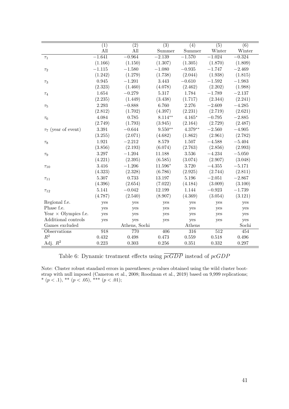|                             | $\overline{(1)}$ | $\overline{(2)}$ | $\overline{(3)}$ | $\overline{(4)}$ | $\overline{(5)}$ | $\overline{(6)}$ |
|-----------------------------|------------------|------------------|------------------|------------------|------------------|------------------|
|                             | All              | All              | Summer           | Summer           | Winter           | Winter           |
| $\tau_1$                    | $-1.641$         | $-0.964$         | $-2.139$         | $-1.570$         | $-1.024$         | $-0.324$         |
|                             | (1.166)          | (1.150)          | (1.307)          | (1.305)          | (1.870)          | (1.809)          |
| $\tau_2$                    | $-1.115$         | $-1.580$         | $-1.080$         | $-0.935$         | $-1.747$         | $-2.469$         |
|                             | (1.242)          | (1.279)          | (1.738)          | (2.044)          | (1.938)          | (1.815)          |
| $\tau_3$                    | 0.945            | $-1.201$         | 3.443            | $-0.610$         | $-1.592$         | $-1.983$         |
|                             | (2.323)          | (1.460)          | (4.078)          | (2.462)          | (2.202)          | (1.988)          |
| $\tau_4$                    | 1.654            | $-0.279$         | 5.317            | 1.784            | $-1.789$         | $-2.137$         |
|                             | (2.235)          | (1.449)          | (3.438)          | (1.717)          | (2.344)          | (2.241)          |
| $\tau_5$                    | 2.293            | $-0.888$         | 6.760            | 2.276            | $-2.609$         | $-4.285$         |
|                             | (2.812)          | (1.702)          | (4.397)          | (2.231)          | (2.719)          | (2.621)          |
| $\tau_6$                    | 4.084            | 0.785            | $8.114***$       | $4.165*$         | $-0.795$         | $-2.885$         |
|                             | (2.749)          | (1.793)          | (3.945)          | (2.164)          | (2.729)          | (2.487)          |
| $\tau_7$ (year of event)    | 3.391            | $-0.644$         | $9.550**$        | $4.379**$        | $-2.560$         | $-4.905$         |
|                             | (3.255)          | (2.071)          | (4.682)          | (1.862)          | (2.961)          | (2.782)          |
| $\tau_8$                    | 1.921            | $-2.212$         | 8.579            | 1.507            | $-4.588$         | $-5.404$         |
|                             | (3.856)          | (2.193)          | (6.074)          | (2.763)          | (2.856)          | (2.993)          |
| $\tau_9$                    | 3.297            | $-1.204$         | 11.188           | 3.536            | $-4.234$         | $-5.050$         |
|                             | (4.221)          | (2.395)          | (6.585)          | (3.074)          | (2.907)          | (3.048)          |
| $\tau_{10}$                 | 3.416            | $-1.206$         | $11.596*$        | 3.720            | $-4.355$         | $-5.171$         |
|                             | (4.323)          | (2.328)          | (6.786)          | (2.925)          | (2.744)          | (2.811)          |
| $\tau_{11}$                 | 5.307            | 0.733            | 13.197           | 5.196            | $-2.051$         | $-2.867$         |
|                             | (4.396)          | (2.654)          | (7.022)          | (4.184)          | (3.009)          | (3.100)          |
| $\tau_{12}$                 | 5.141            | $-0.042$         | 12.199           | 1.144            | $-0.923$         | $-1.739$         |
|                             | (4.787)          | (2.540)          | (8.907)          | (4.369)          | (3.054)          | (3.121)          |
| Regional f.e.               | yes              | yes              | yes              | yes              | yes              | yes              |
| Phase f.e.                  | yes              | yes              | yes              | yes              | yes              | yes              |
| Year $\times$ Olympics f.e. | yes              | yes              | yes              | yes              | yes              | yes              |
| Additional controls         | yes              | yes              | yes              | yes              | yes              | yes              |
| Games excluded              |                  | Athens, Sochi    |                  | Athens           |                  | Sochi            |
| Observations                | 918              | 770              | 406              | 316              | $\overline{512}$ | 454              |
| $R^2$                       | 0.432            | 0.498            | 0.473            | 0.559            | 0.518            | 0.496            |
| Adj. $R^2$                  | 0.223            | 0.303            | 0.256            | 0.351            | 0.332            | 0.297            |

Table 6: Dynamic treatment effects using  $\overline{p_{\mathcal{C}}GDP}$  instead of  $p_{\mathcal{C}}GDP$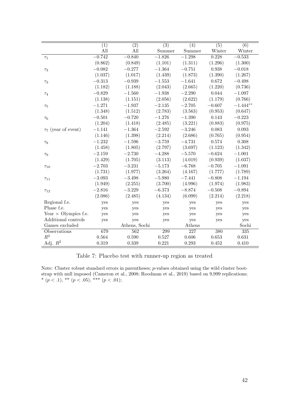|                             | $\overline{(1)}$ | $\overline{(2)}$ | $\overline{(3)}$ | $\overline{(4)}$ | $\overline{(5)}$ | $\overline{(6)}$ |
|-----------------------------|------------------|------------------|------------------|------------------|------------------|------------------|
|                             | All              | All              | Summer           | Summer           | Winter           | Winter           |
| $\tau_1$                    | $-0.742$         | $-0.840$         | $-1.826$         | $-1.298$         | 0.228            | $-0.533$         |
|                             | (0.862)          | (0.849)          | (1.101)          | (1.311)          | (1.296)          | (1.300)          |
| $\tau_2$                    | $-0.082$         | $-0.277$         | $-1.364$         | $-0.751$         | 0.938            | $-0.018$         |
|                             | (1.037)          | (1.017)          | (1.439)          | (1.873)          | (1.390)          | (1.267)          |
| $\tau_3$                    | $-0.313$         | $-0.939$         | $-1.553$         | $-1.641$         | 0.672            | $-0.498$         |
|                             | (1.182)          | (1.188)          | (2.043)          | (2.665)          | (1.220)          | (0.736)          |
| $\tau_4$                    | $-0.829$         | $-1.560$         | $-1.938$         | $-2.290$         | 0.044            | $-1.097$         |
|                             | (1.138)          | (1.151)          | (2.056)          | (2.622)          | (1.179)          | (0.766)          |
| $\tau_5$                    | $-1.271$         | $-1.937$         | $-2.135$         | $-2.705$         | $-0.607$         | $-1.444**$       |
|                             | (1.348)          | (1.512)          | (2.783)          | (3.563)          | (0.953)          | (0.647)          |
| $\tau_6$                    | $-0.501$         | $-0.720$         | $-1.276$         | $-1.390$         | 0.143            | $-0.223$         |
|                             | (1.204)          | (1.418)          | (2.485)          | (3.221)          | (0.883)          | (0.975)          |
| $\tau_7$ (year of event)    | $-1.141$         | $-1.364$         | $-2.592$         | $-3.246$         | 0.083            | 0.093            |
|                             | (1.146)          | (1.398)          | (2.214)          | (2.686)          | (0.765)          | (0.954)          |
| $\tau_8$                    | $-1.232$         | $-1.596$         | $-3.759$         | $-4.731$         | 0.574            | 0.308            |
|                             | (1.458)          | (1.805)          | (2.797)          | (3.697)          | (1.123)          | (1.342)          |
| $\tau_9$                    | $-2.159$         | $-2.730$         | $-4.288$         | $-5.570$         | $-0.624$         | $-1.001$         |
|                             | (1.429)          | (1.705)          | (3.113)          | (4.019)          | (0.939)          | (1.037)          |
| $\tau_{10}$                 | $-2.703$         | $-3.231$         | $-5.173$         | $-6.768$         | $-0.705$         | $-1.091$         |
|                             | (1.731)          | (1.977)          | (3.264)          | (4.167)          | (1.777)          | (1.789)          |
| $\tau_{11}$                 | $-3.093$         | $-3.498$         | $-5.980$         | $-7.441$         | $-0.808$         | $-1.194$         |
|                             | (1.949)          | (2.255)          | (3.700)          | (4.996)          | (1.974)          | (1.983)          |
| $\tau_{12}$                 | $-2.816$         | $-3.229$         | $-6.373$         | $-8.874$         | $-0.508$         | $-0.894$         |
|                             | (2.086)          | (2.485)          | (4.134)          | (6.099)          | (2.214)          | (2.218)          |
| Regional f.e.               | yes              | yes              | yes              | yes              | yes              | yes              |
| Phase f.e.                  | yes              | yes              | yes              | yes              | yes              | yes              |
| Year $\times$ Olympics f.e. | yes              | yes              | yes              | yes              | yes              | yes              |
| Additional controls         | yes              | yes              | yes              | yes              | yes              | yes              |
| Games excluded              |                  | Athens, Sochi    |                  | Athens           |                  | Sochi            |
| Observations                | 679              | 562              | 299              | 227              | 380              | 335              |
| $R^2$                       | 0.564            | 0.590            | 0.527            | 0.606            | 0.653            | 0.631            |
| Adj. $R^2$                  | 0.319            | 0.339            | 0.221            | 0.293            | 0.452            | 0.410            |

Table 7: Placebo test with runner-up region as treated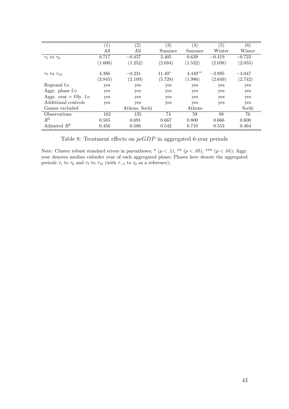|                               | $\left(1\right)$ | $\left( 2\right)$ | $\left( 3\right)$ | (4)       | (5)      | $\left( 6\right)$ |
|-------------------------------|------------------|-------------------|-------------------|-----------|----------|-------------------|
|                               | All              | All               | Summer            | Summer    | Winter   | Winter            |
| $\tau_1$ to $\tau_6$          | 0.717            | $-0.457$          | 3.405             | 0.639     | $-0.419$ | $-0.723$          |
|                               | (1.606)          | (1.252)           | (2.684)           | (1.532)   | (2.038)  | (2.055)           |
| $\tau_7$ to $\tau_{12}$       | 4.386            | $-0.231$          | $11.40*$          | $4.449**$ | $-3.895$ | $-4.047$          |
|                               | (3.845)          | (2.109)           | (5.728)           | (1.986)   | (2.649)  | (2.742)           |
| Regional f.e.                 | yes              | yes               | yes               | yes       | yes      | yes               |
| Aggr. phase f.e.              | yes              | yes               | yes               | yes       | yes      | yes               |
| Aggr. year $\times$ Oly. f.e. | yes              | yes               | yes               | yes       | yes      | yes               |
| Additional controls           | yes              | yes               | yes               | yes       | yes      | yes               |
| Games excluded                |                  | Athens, Sochi     |                   | Athens    |          | Sochi             |
| Observations                  | 162              | 135               | 74                | 59        | 88       | 76                |
| $R^2$                         | 0.585            | 0.691             | 0.667             | 0.800     | 0.666    | 0.600             |
| Adjusted $R^2$                | 0.456            | 0.586             | 0.542             | 0.710     | 0.553    | 0.464             |

Table 8: Treatment effects on pcGDP in aggregated 6-year periods

Note: Cluster robust standard errors in parentheses; \*  $(p < .1)$ , \*\*  $(p < .05)$ , \*\*\*  $(p < .01)$ ; Aggr. year denotes median calender year of each aggregated phase; Phases here denote the aggregated periods  $\tau_1$  to  $\tau_6$  and  $\tau_7$  to  $\tau_{12}$  (with  $\tau_{-5}$  to  $\tau_0$  as a reference);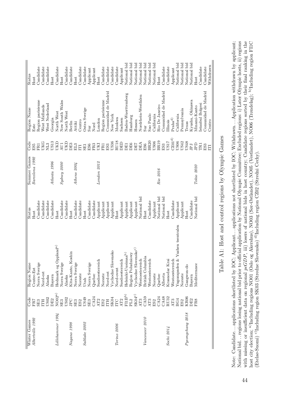| Winter Games     | Code                  | Region Name                      | Status       | Summer Games     | Code              | Region Name         | Status       |
|------------------|-----------------------|----------------------------------|--------------|------------------|-------------------|---------------------|--------------|
| Albertville 1992 | FR7                   | Centre-Est                       | Host         | Barcelona 1992   | ES5               | Este                | Host         |
|                  | SE <sub>3</sub>       | Sverige<br>Norra                 | Candidate    |                  | FRI               | Region parisienne   | Candidate    |
|                  | HH                    | Nord-est                         | Candidate    |                  | <b>UKG</b>        | West Midlands       | Candidate    |
|                  | US02                  | Alaska                           | Candidate    |                  | NL3               | West Nederland      | Candidate    |
|                  | DE2                   | Bayern                           | Candidate    | Atlanta 1996     | US13              | Georgia             | Host         |
| Lillehammer 1994 | NOO2 <sup>a</sup>     | Hedmark og Oppland <sup>a)</sup> | Host         |                  | ŪЮ                | North West          | Candidate    |
|                  | SE3                   | Norra Sverige                    | Candidate    | $Sy$ dney $2000$ | AU1               | New South Wales     | Host         |
|                  | US02                  | Alaska                           | Candidate    |                  | <b>CIXL</b>       | North West          | Candidate    |
| Nagano 1998      | $_{\rm JES}^{\rm DC}$ | Kita-Kanto, Koshin               | Host         |                  | DE3               | Berlin              | Candidate    |
|                  |                       | Sverige<br>Norra                 | Candidate    | $A$ thens $2004$ | EL <sub>3</sub>   | Attiki              | Host         |
|                  |                       | $\mathbb O$<br>Norest            | Candidate    |                  | Ë                 | Centro              | Candidate    |
| Saltlake 2002    | ES2<br>US49<br>SE3    | $Utah  Noria$                    | Host         |                  | SE1               | Ostra Sverige       | Candidate    |
|                  |                       | Sverige                          | Candidate    |                  | ES6               | $\sin$              | Applicant    |
|                  | CAA24                 | Quebec                           | Candidate    |                  | FR3               | Nord                | Applicant    |
|                  | $\mathrm{AT}2$        | Suedoesterreich                  | Applicant    | London 2012      | LМ                | London              | Host         |
|                  | $_{\rm H2}^{\rm E2}$  | Noreste                          | Applicant    |                  | FRI               | Region parisienne   | Candidate    |
|                  |                       | Nord-est                         | Applicant    |                  | ES3               | Comunidad de Madrid | Candidate    |
|                  | SK04                  | Vychodne Slovensko               | Applicant    |                  | US36              | New York            | Candidate    |
| Torino 2006      | LLC                   | Nord-ovest                       | Host         |                  | RU18              | Moskwa              | Candidate    |
|                  | AT2                   | Suedoesterreich                  | Applicant    |                  | DED               | Sachsen             | Applicant    |
|                  | FIIB <sub>p</sub>     | Helsinki-Uusimaa <sup>b)</sup>   | Applicant    |                  | DE1               | Baden-Wuerttemberg  | National bid |
|                  | $_{\rm PL2}$          | Region Poludniowy                | Applicant    |                  | DE6               | Hamburg             | National bid |
|                  | SK04 <sup>c)</sup>    | Vychodne Slovensko <sup>c)</sup> | Applicant    |                  | DE7               | Hessen              | National bid |
|                  | AT3                   | Westoesterreich                  | National bid |                  | DEA               | Nordrhein-Westfalen | National bid |
| Vancouver 2010   | CAS9                  | British Columbia                 | Host         |                  | ES <sub>6</sub>   | $\sin$              | National bid |
|                  | $\mathrm{AT3}$        | Westoesterreich                  | Candidate    |                  | <b>BR20</b>       | Sao Paulo           | National bid |
|                  | ES2<br>CA24           | Noreste                          | Applicant    |                  | US06              | California          | National bid |
|                  |                       | Quebec                           | National bid | Rio 2016         | BR19              | Rio De Janeiro      | Host         |
|                  | CA48                  | Alberta                          | National bid |                  | ES3               | Comunidad de Madrid | Candidate    |
| Sochi 2014       | RU <sub>32</sub>      | Krasnodar Krai                   | Host         |                  | US17              | llinois             | Candidate    |
|                  | AT3                   | Westoesterreich                  | Candidate    |                  | CZ01 <sup>d</sup> | $\rm Praha^d$       | Applicant    |
|                  | BG4                   | Yugozapaden & Yuzhen tsentralen  | Applicant    |                  | <b>US06</b>       | California          | National bid |
|                  | ES2                   | Noreste                          | Applicant    |                  | US42              | Pennsylvania        | National bid |
| Pyeongchang 2018 | KR <sub>06</sub>      | Gangwon-do                       | Host         |                  | US48              | Texas               | National bid |
|                  | DE2                   | Bayern                           | Candidate    |                  | JPJ               | Kyushu, Okinawa     | National bid |
|                  | FR8                   | Mediterranee                     | National bid | Tokio 2020       | <b>Gdf</b>        | Minami-Kanto        | Host         |
|                  |                       |                                  |              |                  | <b>TRI</b>        | istanbul Bolgesi    | Candidate    |
|                  |                       |                                  |              |                  | ES3               | Comunidad de Madrid | Candidate    |
|                  |                       |                                  |              |                  | Ë                 | Centro              | Withdrawn    |

Table A1: Host and control regions by Olympic Games Table A1: Host and control regions by Olympic Games Note: Candidate...applications shortlisted by IOC; Applicant...applications not shortlisted by IOC; Withdrawn...Application withdrawn by applicant;<br>National bid...regions losing national bid prior to official application b with missing or insufficient data on regional  $pGDP$ , iii) losers of national bids in host country; Candidate regions sorted by their final ranking in the host city election; <sup>a)</sup>Including regions NO01 (Oslo og Akershus), Note: Candidate. . . applications shortlisted by IOC; Applicant. . . applications not shortlisted by IOC; Withdrawn. . . Application withdrawn by applicant; National bid. . . regions losing national bid prior to official application by National Olympic Committee; Excluded regions: i) Later Olympic hosts, ii) regions with missing or insufficient data on regional pcGDP, iii) losers of national bids in host country; Candidate regions sorted by their final ranking in the host city election; a)Including regions NO01 (Oslo og Akershus), NO03 (Sør-Østlandet), NO05 (Vestlandet), NO06 (Trøndelag); b)Including region FI1C (Etelae-Suomi) c)Including region SK03 (Stredne Slovensko) d)Including region CZ02 (Stredni Cechy).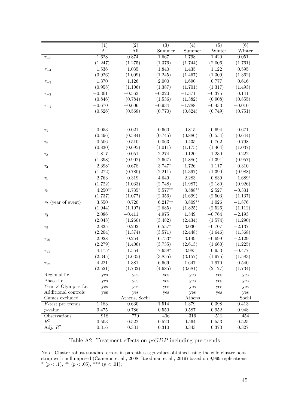|                             | (1)       | $\overline{(2)}$ | $\overline{(3)}$ | $\overline{(4)}$ | $\overline{(5)}$ | $\overline{(6)}$ |
|-----------------------------|-----------|------------------|------------------|------------------|------------------|------------------|
|                             | All       | All              | Summer           | Summer           | Winter           | Winter           |
| $\tau_{-5}$                 | 1.628     | 0.874            | 1.667            | 1.798            | 1.420            | 0.051            |
|                             | (1.247)   | (1.275)          | (1.376)          | (1.744)          | (2.006)          | (1.761)          |
| $\tau_{-4}$                 | 1.536     | 1.035            | 1.840            | 1.435            | 1.122            | 0.595            |
|                             | (0.926)   | (1.009)          | (1.245)          | (1.467)          | (1.309)          | (1.362)          |
| $\tau_{-3}$                 | 1.370     | 1.126            | $2.000\,$        | 1.690            | 0.777            | 0.616            |
|                             | (0.958)   | (1.106)          | (1.387)          | (1.701)          | (1.317)          | (1.493)          |
| $\tau_{-2}$                 | $-0.301$  | $-0.563$         | $-0.220$         | $-1.371$         | $-0.375$         | 0.141            |
|                             | (0.846)   | (0.784)          | (1.536)          | (1.382)          | (0.908)          | (0.855)          |
| $\tau_{-1}$                 | $-0.670$  | $-0.606$         | $-0.934$         | $-1.288$         | $-0.433$         | $-0.010$         |
|                             | (0.526)   | (0.568)          | (0.770)          | (0.824)          | (0.749)          | (0.751)          |
|                             |           |                  |                  |                  |                  |                  |
|                             |           |                  |                  |                  |                  |                  |
| $\tau_1$                    | 0.053     | $-0.021$         | $-0.660$         | $-0.815$         | 0.694            | 0.671            |
|                             | (0.496)   | (0.584)          | (0.745)          | (0.886)          | (0.554)          | (0.644)          |
| $\tau_2$                    | $0.506\,$ | $-0.510$         | $-0.063$         | $-0.435$         | 0.762            | $-0.798$         |
|                             | (0.830)   | (0.695)          | (1.011)          | (1.175)          | (1.464)          | (1.037)          |
| $\tau_3$                    | 1.817     | $-0.051$         | 2.274            | $-0.120$         | $1.230\,$        | $-0.222$         |
|                             | (1.398)   | (0.902)          | (2.667)          | (1.886)          | (1.391)          | (0.957)          |
| $\tau_4$                    | $2.398*$  | 0.678            | $3.747*$         | 1.726            | 1.117            | $-0.310$         |
|                             | (1.272)   | (0.780)          | (2.211)          | (1.397)          | (1.390)          | (0.988)          |
| $\tau_5$                    | 2.763     | 0.319            | 4.649            | 2.283            | 0.839            | $-1.689*$        |
|                             | (1.722)   | (1.033)          | (2.748)          | (1.987)          | (2.180)          | (0.926)          |
|                             | $4.250**$ | $1.735*$         | $5.577**$        | $3.588**$        | 2.527            | $-0.331$         |
| $\tau_6$                    | (1.737)   |                  | (2.356)          | (1.699)          | (2.503)          | (1.137)          |
|                             |           | (1.077)          |                  |                  |                  |                  |
| $\tau_7$ (year of event)    | $3.550\,$ | 0.720            | $6.217**$        | $3.809**$        | 1.026            | $-1.876$         |
|                             | (1.944)   | (1.197)          | (2.685)          | (1.825)          | (2.526)          | (1.112)          |
| $\tau_8$                    | 2.086     | $-0.411$         | 4.975            | 1.549            | $-0.764$         | $-2.193$         |
|                             | (2.048)   | (1.260)          | (3.482)          | (2.434)          | (1.574)          | (1.290)          |
| $\tau_9$                    | $2.835\,$ | 0.202            | $6.557*$         | 3.030            | $-0.707$         | $-2.137$         |
|                             | (2.204)   | (1.374)          | (3.571)          | (2.448)          | (1.646)          | (1.368)          |
| $\tau_{10}$                 | 2.928     | 0.254            | $6.753*$         | 3.149            | $-0.699$         | $-2.129$         |
|                             | (2.279)   | (1.406)          | (3.735)          | (2.613)          | (1.660)          | (1.225)          |
| $\tau_{11}$                 | $4.175*$  | 1.554            | $7.638*$         | $3.985\,$        | 0.953            | $-0.477$         |
|                             | (2.345)   | (1.635)          | (3.855)          | (3.157)          | (1.975)          | (1.583)          |
| $\tau_{12}$                 | 4.221     | 1.381            | 6.669            | 1.647            | 1.970            | 0.540            |
|                             | (2.521)   | (1.732)          | (4.685)          | (3.681)          | (2.127)          | (1.734)          |
| Regional f.e.               | yes       | yes              | yes              | yes              | yes              | yes              |
| Phase f.e.                  | yes       | yes              | yes              | yes              | yes              | yes              |
| Year $\times$ Olympics f.e. | yes       | yes              | yes              | yes              | yes              | yes              |
| Additional controls         | yes       | yes              | yes              | yes              | yes              | yes              |
| Games excluded              |           | Athens, Sochi    |                  | Athens           |                  | Sochi            |
| $F$ -test pre trends        | 1.183     | 0.630            | 1.514            | 1.379            | 0.398            | 0.413            |
| $p$ -value                  | 0.475     | 0.786            | 0.550            | 0.587            | 0.952            | 0.948            |
| Observations                | 918       | 770              | 406              | 316              | 512              | 454              |
| $R^2$                       | 0.503     | 0.522            | 0.520            | 0.564            | 0.553            | 0.525            |
| Adj. $R^2$                  | $0.316\,$ | 0.331            | 0.310            | 0.343            | 0.373            | 0.327            |
|                             |           |                  |                  |                  |                  |                  |

# Table A2: Treatment effects on pcGDP including pre-trends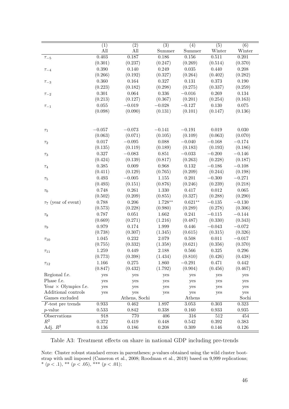|                             |                         |                         | $\overline{(3)}$ |                            |                            | $\overline{(6)}$ |
|-----------------------------|-------------------------|-------------------------|------------------|----------------------------|----------------------------|------------------|
|                             | $\overline{(1)}$<br>All | $\overline{(2)}$<br>All | Summer           | $\overline{(4)}$<br>Summer | $\overline{(5)}$<br>Winter | Winter           |
|                             | 0.403                   | 0.187                   | 0.186            | 0.156                      | 0.511                      | 0.201            |
| $\tau_{-5}$                 | (0.301)                 | (0.237)                 | (0.247)          | (0.269)                    | (0.514)                    | (0.370)          |
|                             | 0.390                   | 0.140                   | 0.249            | $\,0.035\,$                | 0.440                      | 0.208            |
| $\tau_{-4}$                 | (0.266)                 | (0.192)                 | (0.327)          |                            | (0.402)                    | (0.282)          |
|                             |                         |                         |                  | (0.264)                    |                            |                  |
| $\tau_{-3}$                 | 0.360                   | $\,0.164\,$             | 0.327            | 0.131                      | 0.373                      | $0.190\,$        |
|                             | (0.223)                 | (0.182)                 | (0.298)          | (0.275)                    | (0.337)                    | (0.259)          |
| $\tau_{-2}$                 | 0.301                   | 0.064                   | 0.336            | $-0.016$                   | 0.269                      | $0.134\,$        |
|                             | (0.213)                 | (0.127)                 | (0.367)          | (0.201)                    | (0.254)                    | (0.163)          |
| $\tau_{-1}$                 | 0.055                   | $-0.019$                | $-0.028$         | $-0.127$                   | $0.130\,$                  | $0.075\,$        |
|                             | (0.098)                 | (0.090)                 | (0.131)          | (0.101)                    | (0.147)                    | (0.136)          |
|                             |                         |                         |                  |                            |                            |                  |
|                             |                         |                         |                  |                            |                            |                  |
| $\tau_1$                    | $-0.057$                | $-0.073$                | $-0.141$         | $-0.191$                   | 0.019                      | $0.030\,$        |
|                             | (0.063)                 | (0.071)                 | (0.105)          | (0.109)                    | (0.063)                    | (0.070)          |
| $\tau_2$                    | 0.017                   | $-0.095$                | 0.088            | $-0.040$                   | $-0.168$                   | $-0.174$         |
|                             | (0.135)                 | (0.119)                 | (0.189)          | (0.183)                    | (0.193)                    | (0.186)          |
| $\tau_3$                    | 0.327                   | $-0.083$                | 0.851            | $-0.033$                   | $-0.200$                   | $-0.146$         |
|                             | (0.424)                 | (0.139)                 | (0.817)          | (0.263)                    | (0.228)                    | (0.187)          |
| $\tau_4$                    | 0.385                   | $0.009\,$               | 0.968            | 0.132                      | $-0.186$                   | $-0.108$         |
|                             | (0.411)                 | (0.129)                 | (0.765)          | (0.209)                    | (0.244)                    | (0.198)          |
| $\tau_5$                    | 0.493                   | $-0.005$                | 1.155            | 0.201                      | $-0.300$                   | $-0.271$         |
|                             | (0.493)                 | (0.151)                 | (0.876)          | (0.246)                    | (0.239)                    | (0.218)          |
| $\tau_6$                    | 0.748                   | $0.261\,$               | 1.330            | 0.417                      | $\,0.012\,$                | $0.065\,$        |
|                             | (0.502)                 | (0.209)                 | (0.855)          | (0.327)                    | (0.288)                    | (0.290)          |
| $\tau_7$ (year of event)    | 0.788                   | 0.206                   | $1.728**$        | $0.621**$                  | $-0.135\,$                 | $-0.130$         |
|                             | (0.573)                 | (0.228)                 | (0.980)          | (0.289)                    | (0.278)                    | (0.306)          |
| $\tau_8$                    | 0.787                   | $0.051\,$               | 1.662            | 0.241                      | $-0.115$                   | $-0.144$         |
|                             | (0.669)                 | (0.271)                 | (1.216)          | (0.487)                    | (0.330)                    | (0.343)          |
| $\tau_9$                    | 0.979                   | 0.174                   | 1.999            | 0.446                      | $-0.043$                   | $-0.072$         |
|                             | (0.738)                 | (0.307)                 | (1.345)          | (0.615)                    | (0.315)                    | (0.326)          |
| $\tau_{10}$                 | 1.045                   | 0.232                   | 2.079            | $0.508\,$                  | $0.011\,$                  | $-0.017$         |
|                             | (0.755)                 | (0.332)                 | (1.358)          | (0.621)                    | (0.356)                    | (0.370)          |
| $\tau_{11}$                 | 1.259                   | 0.449                   | 2.188            | 0.566                      | $0.325\,$                  | $0.296\,$        |
|                             | (0.773)                 | (0.398)                 | (1.434)          | (0.810)                    | (0.426)                    | (0.438)          |
|                             | 1.166                   | 0.275                   | 1.860            | $-0.291$                   | 0.471                      | 0.442            |
| $\tau_{12}$                 | (0.847)                 | (0.432)                 | (1.792)          | (0.904)                    | (0.456)                    | (0.467)          |
| Regional f.e.               | yes                     |                         |                  |                            |                            |                  |
| Phase f.e.                  |                         | yes                     | yes              | yes                        | yes                        | yes              |
| Year $\times$ Olympics f.e. | yes                     | yes<br>yes              | yes              | yes                        | yes                        | yes              |
| Additional controls         | yes<br>yes              | yes                     | yes<br>yes       | yes<br>yes                 | yes<br>yes                 | yes<br>yes       |
| Games excluded              |                         | Athens, Sochi           |                  | Athens                     |                            | Sochi            |
| $F$ -test pre trends        | 0.933                   | 0.462                   | 1.897            | 3.053                      | 0.303                      | 0.323            |
| $p$ -value                  | 0.533                   | 0.842                   | 0.338            | 0.160                      | 0.933                      | 0.935            |
| Observations                | 918                     | 770                     | 406              | 316                        | $512\,$                    | 454              |
| $R^2$                       | 0.372                   | 0.419                   | 0.448            | 0.542                      | 0.392                      | 0.383            |
| Adj. $R^2$                  | 0.136                   | 0.186                   | 0.208            | 0.309                      | 0.146                      | 0.126            |
|                             |                         |                         |                  |                            |                            |                  |

Table A3: Treatment effects on share in national GDP including pre-trends